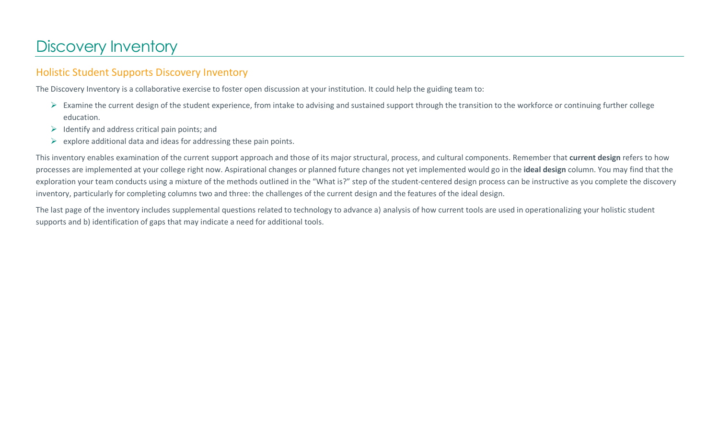# Discovery Inventory

## Holistic Student Supports Discovery Inventory

The Discovery Inventory is a collaborative exercise to foster open discussion at your institution. It could help the guiding team to:

- $\triangleright$  Examine the current design of the student experience, from intake to advising and sustained support through the transition to the workforce or continuing further college education.
- $\triangleright$  Identify and address critical pain points; and
- $\triangleright$  explore additional data and ideas for addressing these pain points.

This inventory enables examination of the current support approach and those of its major structural, process, and cultural components. Remember that **current design** refers to how processes are implemented at your college right now. Aspirational changes or planned future changes not yet implemented would go in the **ideal design** column. You may find that the exploration your team conducts using a mixture of the methods outlined in the "What is?" step of the student-centered design process can be instructive as you complete the discovery inventory, particularly for completing columns two and three: the challenges of the current design and the features of the ideal design.

The last page of the inventory includes supplemental questions related to technology to advance a) analysis of how current tools are used in operationalizing your holistic student supports and b) identification of gaps that may indicate a need for additional tools.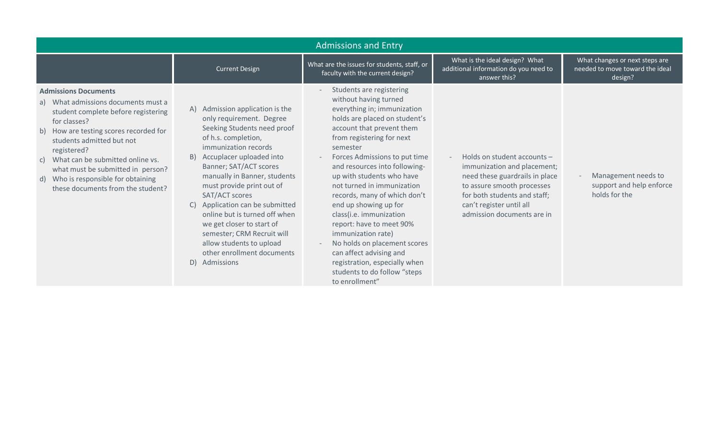| <b>Admissions and Entry</b>                                                                                                                                                                                                                                                                                                                                                   |                                                                                                                                                                                                                                                                                                                                                                                                                                                                                                |                                                                                                                                                                                                                                                                                                                                                                                                                                                                                                                                                                                                          |                                                                                                                                                                                                                      |                                                                              |
|-------------------------------------------------------------------------------------------------------------------------------------------------------------------------------------------------------------------------------------------------------------------------------------------------------------------------------------------------------------------------------|------------------------------------------------------------------------------------------------------------------------------------------------------------------------------------------------------------------------------------------------------------------------------------------------------------------------------------------------------------------------------------------------------------------------------------------------------------------------------------------------|----------------------------------------------------------------------------------------------------------------------------------------------------------------------------------------------------------------------------------------------------------------------------------------------------------------------------------------------------------------------------------------------------------------------------------------------------------------------------------------------------------------------------------------------------------------------------------------------------------|----------------------------------------------------------------------------------------------------------------------------------------------------------------------------------------------------------------------|------------------------------------------------------------------------------|
|                                                                                                                                                                                                                                                                                                                                                                               | <b>Current Design</b>                                                                                                                                                                                                                                                                                                                                                                                                                                                                          | What are the issues for students, staff, or<br>faculty with the current design?                                                                                                                                                                                                                                                                                                                                                                                                                                                                                                                          | What is the ideal design? What<br>additional information do you need to<br>answer this?                                                                                                                              | What changes or next steps are<br>needed to move toward the ideal<br>design? |
| <b>Admissions Documents</b><br>a) What admissions documents must a<br>student complete before registering<br>for classes?<br>b) How are testing scores recorded for<br>students admitted but not<br>registered?<br>What can be submitted online vs.<br>C)<br>what must be submitted in person?<br>Who is responsible for obtaining<br>d)<br>these documents from the student? | A) Admission application is the<br>only requirement. Degree<br>Seeking Students need proof<br>of h.s. completion,<br>immunization records<br>Accuplacer uploaded into<br>B)<br>Banner; SAT/ACT scores<br>manually in Banner, students<br>must provide print out of<br>SAT/ACT scores<br>Application can be submitted<br>online but is turned off when<br>we get closer to start of<br>semester; CRM Recruit will<br>allow students to upload<br>other enrollment documents<br>D)<br>Admissions | Students are registering<br>without having turned<br>everything in; immunization<br>holds are placed on student's<br>account that prevent them<br>from registering for next<br>semester<br>Forces Admissions to put time<br>and resources into following-<br>up with students who have<br>not turned in immunization<br>records, many of which don't<br>end up showing up for<br>class(i.e. immunization<br>report: have to meet 90%<br>immunization rate)<br>No holds on placement scores<br>can affect advising and<br>registration, especially when<br>students to do follow "steps<br>to enrollment" | Holds on student accounts -<br>immunization and placement;<br>need these guardrails in place<br>to assure smooth processes<br>for both students and staff;<br>can't register until all<br>admission documents are in | Management needs to<br>support and help enforce<br>holds for the             |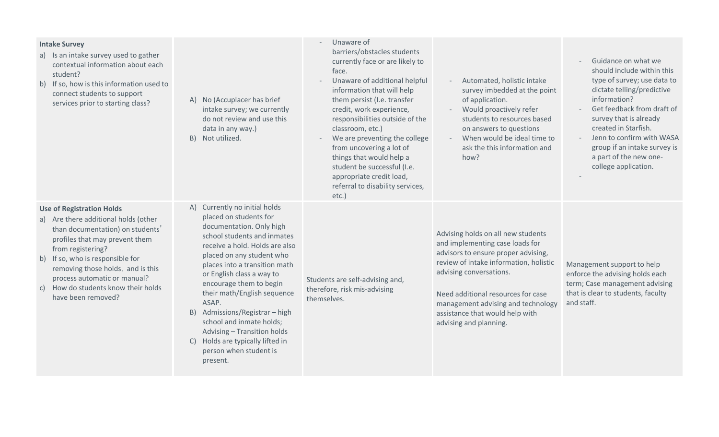| <b>Intake Survey</b><br>a) Is an intake survey used to gather<br>contextual information about each<br>student?<br>b) If so, how is this information used to<br>connect students to support<br>services prior to starting class?                                                                                                                 | A) No (Accuplacer has brief<br>intake survey; we currently<br>do not review and use this<br>data in any way.)<br>Not utilized.<br>B)                                                                                                                                                                                                                                                                                                                                                         | Unaware of<br>barriers/obstacles students<br>currently face or are likely to<br>face.<br>Unaware of additional helpful<br>information that will help<br>them persist (I.e. transfer<br>credit, work experience,<br>responsibilities outside of the<br>classroom, etc.)<br>We are preventing the college<br>from uncovering a lot of<br>things that would help a<br>student be successful (I.e.<br>appropriate credit load,<br>referral to disability services,<br>$etc.$ ) | Automated, holistic intake<br>survey imbedded at the point<br>of application.<br>Would proactively refer<br>students to resources based<br>on answers to questions<br>When would be ideal time to<br>ask the this information and<br>how?                                                                                  | Guidance on what we<br>should include within this<br>type of survey; use data to<br>dictate telling/predictive<br>information?<br>Get feedback from draft of<br>survey that is already<br>created in Starfish.<br>Jenn to confirm with WASA<br>group if an intake survey is<br>a part of the new one-<br>college application. |
|-------------------------------------------------------------------------------------------------------------------------------------------------------------------------------------------------------------------------------------------------------------------------------------------------------------------------------------------------|----------------------------------------------------------------------------------------------------------------------------------------------------------------------------------------------------------------------------------------------------------------------------------------------------------------------------------------------------------------------------------------------------------------------------------------------------------------------------------------------|----------------------------------------------------------------------------------------------------------------------------------------------------------------------------------------------------------------------------------------------------------------------------------------------------------------------------------------------------------------------------------------------------------------------------------------------------------------------------|----------------------------------------------------------------------------------------------------------------------------------------------------------------------------------------------------------------------------------------------------------------------------------------------------------------------------|-------------------------------------------------------------------------------------------------------------------------------------------------------------------------------------------------------------------------------------------------------------------------------------------------------------------------------|
| <b>Use of Registration Holds</b><br>a) Are there additional holds (other<br>than documentation) on students'<br>profiles that may prevent them<br>from registering?<br>If so, who is responsible for<br>b)<br>removing those holds, and is this<br>process automatic or manual?<br>How do students know their holds<br>C)<br>have been removed? | A) Currently no initial holds<br>placed on students for<br>documentation. Only high<br>school students and inmates<br>receive a hold. Holds are also<br>placed on any student who<br>places into a transition math<br>or English class a way to<br>encourage them to begin<br>their math/English sequence<br>ASAP.<br>Admissions/Registrar - high<br>B)<br>school and inmate holds;<br>Advising - Transition holds<br>C) Holds are typically lifted in<br>person when student is<br>present. | Students are self-advising and,<br>therefore, risk mis-advising<br>themselves.                                                                                                                                                                                                                                                                                                                                                                                             | Advising holds on all new students<br>and implementing case loads for<br>advisors to ensure proper advising,<br>review of intake information, holistic<br>advising conversations.<br>Need additional resources for case<br>management advising and technology<br>assistance that would help with<br>advising and planning. | Management support to help<br>enforce the advising holds each<br>term; Case management advising<br>that is clear to students, faculty<br>and staff.                                                                                                                                                                           |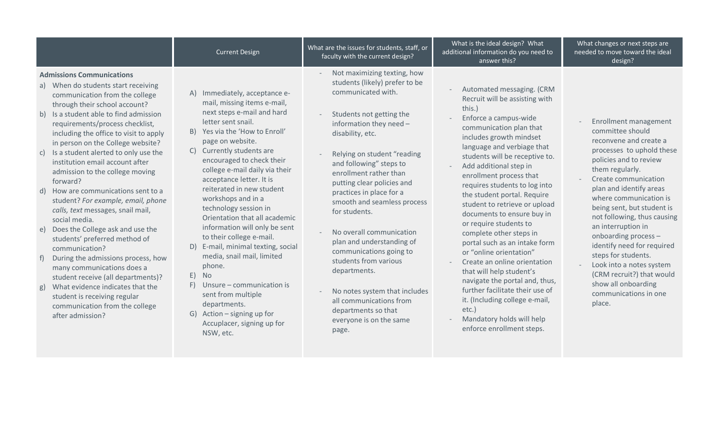|                                                                                                                                                                                                                                                                                                                                                                                                                                                                                                                                                                                                                                                                                                                                                                                                                                                                                                                  | <b>Current Design</b>                                                                                                                                                                                                                                                                                                                                                                                                                                                                                                                                                                                                                                                                                                          | What are the issues for students, staff, or<br>faculty with the current design?                                                                                                                                                                                                                                                                                                                                                                                                                                                                                                                                  | What is the ideal design? What<br>additional information do you need to<br>answer this?                                                                                                                                                                                                                                                                                                                                                                                                                                                                                                                                                                                                                                                                            | What changes or next steps are<br>needed to move toward the ideal<br>design?                                                                                                                                                                                                                                                                                                                                                                                                                                  |
|------------------------------------------------------------------------------------------------------------------------------------------------------------------------------------------------------------------------------------------------------------------------------------------------------------------------------------------------------------------------------------------------------------------------------------------------------------------------------------------------------------------------------------------------------------------------------------------------------------------------------------------------------------------------------------------------------------------------------------------------------------------------------------------------------------------------------------------------------------------------------------------------------------------|--------------------------------------------------------------------------------------------------------------------------------------------------------------------------------------------------------------------------------------------------------------------------------------------------------------------------------------------------------------------------------------------------------------------------------------------------------------------------------------------------------------------------------------------------------------------------------------------------------------------------------------------------------------------------------------------------------------------------------|------------------------------------------------------------------------------------------------------------------------------------------------------------------------------------------------------------------------------------------------------------------------------------------------------------------------------------------------------------------------------------------------------------------------------------------------------------------------------------------------------------------------------------------------------------------------------------------------------------------|--------------------------------------------------------------------------------------------------------------------------------------------------------------------------------------------------------------------------------------------------------------------------------------------------------------------------------------------------------------------------------------------------------------------------------------------------------------------------------------------------------------------------------------------------------------------------------------------------------------------------------------------------------------------------------------------------------------------------------------------------------------------|---------------------------------------------------------------------------------------------------------------------------------------------------------------------------------------------------------------------------------------------------------------------------------------------------------------------------------------------------------------------------------------------------------------------------------------------------------------------------------------------------------------|
| <b>Admissions Communications</b><br>a) When do students start receiving<br>communication from the college<br>through their school account?<br>b) Is a student able to find admission<br>requirements/process checklist,<br>including the office to visit to apply<br>in person on the College website?<br>Is a student alerted to only use the<br>C)<br>institution email account after<br>admission to the college moving<br>forward?<br>How are communications sent to a<br>d)<br>student? For example, email, phone<br>calls, text messages, snail mail,<br>social media.<br>e) Does the College ask and use the<br>students' preferred method of<br>communication?<br>During the admissions process, how<br>many communications does a<br>student receive (all departments)?<br>What evidence indicates that the<br>g)<br>student is receiving regular<br>communication from the college<br>after admission? | Immediately, acceptance e-<br>A)<br>mail, missing items e-mail,<br>next steps e-mail and hard<br>letter sent snail.<br>B) Yes via the 'How to Enroll'<br>page on website.<br>C) Currently students are<br>encouraged to check their<br>college e-mail daily via their<br>acceptance letter. It is<br>reiterated in new student<br>workshops and in a<br>technology session in<br>Orientation that all academic<br>information will only be sent<br>to their college e-mail.<br>D) E-mail, minimal texting, social<br>media, snail mail, limited<br>phone.<br>E)<br><b>No</b><br>Unsure - communication is<br>F)<br>sent from multiple<br>departments.<br>G) Action - signing up for<br>Accuplacer, signing up for<br>NSW, etc. | Not maximizing texting, how<br>students (likely) prefer to be<br>communicated with.<br>Students not getting the<br>information they need -<br>disability, etc.<br>Relying on student "reading<br>and following" steps to<br>enrollment rather than<br>putting clear policies and<br>practices in place for a<br>smooth and seamless process<br>for students.<br>No overall communication<br>plan and understanding of<br>communications going to<br>students from various<br>departments.<br>No notes system that includes<br>all communications from<br>departments so that<br>everyone is on the same<br>page. | Automated messaging. (CRM<br>Recruit will be assisting with<br>this.)<br>Enforce a campus-wide<br>communication plan that<br>includes growth mindset<br>language and verbiage that<br>students will be receptive to.<br>Add additional step in<br>enrollment process that<br>requires students to log into<br>the student portal. Require<br>student to retrieve or upload<br>documents to ensure buy in<br>or require students to<br>complete other steps in<br>portal such as an intake form<br>or "online orientation"<br>Create an online orientation<br>that will help student's<br>navigate the portal and, thus,<br>further facilitate their use of<br>it. (Including college e-mail,<br>$etc.$ )<br>Mandatory holds will help<br>enforce enrollment steps. | Enrollment management<br>committee should<br>reconvene and create a<br>processes to uphold these<br>policies and to review<br>them regularly.<br>Create communication<br>plan and identify areas<br>where communication is<br>being sent, but student is<br>not following, thus causing<br>an interruption in<br>onboarding process -<br>identify need for required<br>steps for students.<br>Look into a notes system<br>(CRM recruit?) that would<br>show all onboarding<br>communications in one<br>place. |
|                                                                                                                                                                                                                                                                                                                                                                                                                                                                                                                                                                                                                                                                                                                                                                                                                                                                                                                  |                                                                                                                                                                                                                                                                                                                                                                                                                                                                                                                                                                                                                                                                                                                                |                                                                                                                                                                                                                                                                                                                                                                                                                                                                                                                                                                                                                  |                                                                                                                                                                                                                                                                                                                                                                                                                                                                                                                                                                                                                                                                                                                                                                    |                                                                                                                                                                                                                                                                                                                                                                                                                                                                                                               |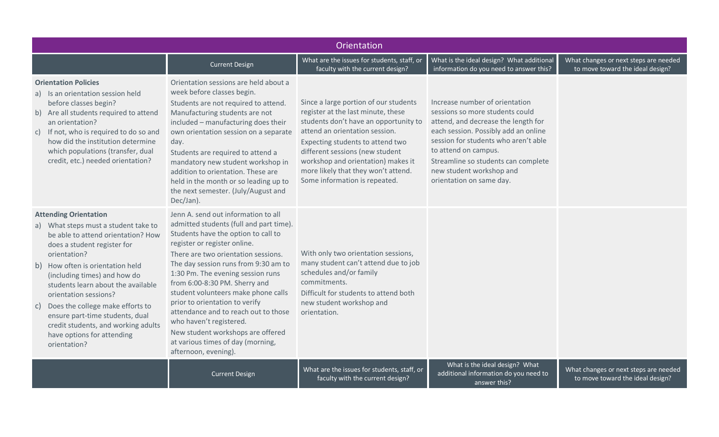|                                                                                                                                                                                                                                                                                                                                                                                                                                                                | Orientation                                                                                                                                                                                                                                                                                                                                                                                                                                                                                                                                              |                                                                                                                                                                                                                                                                                                                                             |                                                                                                                                                                                                                                                                                                                 |                                                                           |  |
|----------------------------------------------------------------------------------------------------------------------------------------------------------------------------------------------------------------------------------------------------------------------------------------------------------------------------------------------------------------------------------------------------------------------------------------------------------------|----------------------------------------------------------------------------------------------------------------------------------------------------------------------------------------------------------------------------------------------------------------------------------------------------------------------------------------------------------------------------------------------------------------------------------------------------------------------------------------------------------------------------------------------------------|---------------------------------------------------------------------------------------------------------------------------------------------------------------------------------------------------------------------------------------------------------------------------------------------------------------------------------------------|-----------------------------------------------------------------------------------------------------------------------------------------------------------------------------------------------------------------------------------------------------------------------------------------------------------------|---------------------------------------------------------------------------|--|
|                                                                                                                                                                                                                                                                                                                                                                                                                                                                | <b>Current Design</b>                                                                                                                                                                                                                                                                                                                                                                                                                                                                                                                                    | What are the issues for students, staff, or<br>faculty with the current design?                                                                                                                                                                                                                                                             | What is the ideal design? What additional<br>information do you need to answer this?                                                                                                                                                                                                                            | What changes or next steps are needed<br>to move toward the ideal design? |  |
| <b>Orientation Policies</b><br>a) Is an orientation session held<br>before classes begin?<br>b) Are all students required to attend<br>an orientation?<br>c) If not, who is required to do so and<br>how did the institution determine<br>which populations (transfer, dual<br>credit, etc.) needed orientation?                                                                                                                                               | Orientation sessions are held about a<br>week before classes begin.<br>Students are not required to attend.<br>Manufacturing students are not<br>included - manufacturing does their<br>own orientation session on a separate<br>day.<br>Students are required to attend a<br>mandatory new student workshop in<br>addition to orientation. These are<br>held in the month or so leading up to<br>the next semester. (July/August and<br>Dec/Jan).                                                                                                       | Since a large portion of our students<br>register at the last minute, these<br>students don't have an opportunity to<br>attend an orientation session.<br>Expecting students to attend two<br>different sessions (new student<br>workshop and orientation) makes it<br>more likely that they won't attend.<br>Some information is repeated. | Increase number of orientation<br>sessions so more students could<br>attend, and decrease the length for<br>each session. Possibly add an online<br>session for students who aren't able<br>to attend on campus.<br>Streamline so students can complete<br>new student workshop and<br>orientation on same day. |                                                                           |  |
| <b>Attending Orientation</b><br>a) What steps must a student take to<br>be able to attend orientation? How<br>does a student register for<br>orientation?<br>b) How often is orientation held<br>(including times) and how do<br>students learn about the available<br>orientation sessions?<br>Does the college make efforts to<br>C)<br>ensure part-time students, dual<br>credit students, and working adults<br>have options for attending<br>orientation? | Jenn A, send out information to all<br>admitted students (full and part time).<br>Students have the option to call to<br>register or register online.<br>There are two orientation sessions.<br>The day session runs from 9:30 am to<br>1:30 Pm. The evening session runs<br>from 6:00-8:30 PM. Sherry and<br>student volunteers make phone calls<br>prior to orientation to verify<br>attendance and to reach out to those<br>who haven't registered.<br>New student workshops are offered<br>at various times of day (morning,<br>afternoon, evening). | With only two orientation sessions,<br>many student can't attend due to job<br>schedules and/or family<br>commitments.<br>Difficult for students to attend both<br>new student workshop and<br>orientation.                                                                                                                                 |                                                                                                                                                                                                                                                                                                                 |                                                                           |  |
|                                                                                                                                                                                                                                                                                                                                                                                                                                                                | <b>Current Design</b>                                                                                                                                                                                                                                                                                                                                                                                                                                                                                                                                    | What are the issues for students, staff, or<br>faculty with the current design?                                                                                                                                                                                                                                                             | What is the ideal design? What<br>additional information do you need to<br>answer this?                                                                                                                                                                                                                         | What changes or next steps are needed<br>to move toward the ideal design? |  |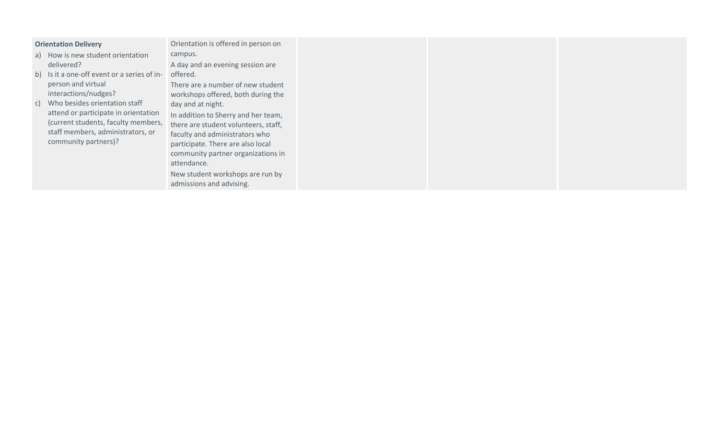| <b>Orientation Delivery</b>                                                                                                                                                                                                | Orientation is offered in person on                                                                                                                                                                                                                                                                                                                                     |
|----------------------------------------------------------------------------------------------------------------------------------------------------------------------------------------------------------------------------|-------------------------------------------------------------------------------------------------------------------------------------------------------------------------------------------------------------------------------------------------------------------------------------------------------------------------------------------------------------------------|
| a) How is new student orientation                                                                                                                                                                                          | campus.                                                                                                                                                                                                                                                                                                                                                                 |
| delivered?                                                                                                                                                                                                                 | A day and an evening session are                                                                                                                                                                                                                                                                                                                                        |
| b) Is it a one-off event or a series of in- offered.                                                                                                                                                                       |                                                                                                                                                                                                                                                                                                                                                                         |
| person and virtual<br>interactions/nudges?<br>c) Who besides orientation staff<br>attend or participate in orientation<br>(current students, faculty members,<br>staff members, administrators, or<br>community partners)? | There are a number of new student<br>workshops offered, both during the<br>day and at night.<br>In addition to Sherry and her team,<br>there are student volunteers, staff,<br>faculty and administrators who<br>participate. There are also local<br>community partner organizations in<br>attendance.<br>New student workshops are run by<br>admissions and advising. |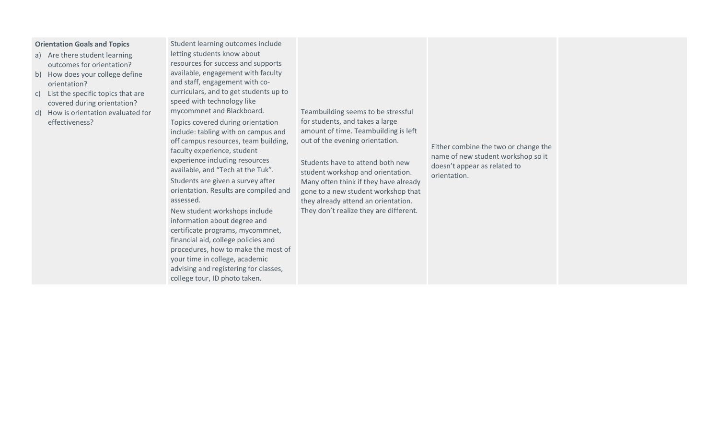#### **Orientation Goals and Topics**

- a) Are there student learning outcomes for orientation?
- b) How does your college define orientation?
- c) List the specific topics that are covered during orientation?
- d) How is orientation evaluated for effectiveness?

Student learning outcomes include letting students know about resources for success and supports available, engagement with faculty and staff, engagement with cocurriculars, and to get students up to speed with technology like mycommnet and Blackboard.

Topics covered during orientation include: tabling with on campus and off campus resources, team building, faculty experience, student experience including resources available, and "Tech at the Tuk". Students are given a survey after orientation. Results are compiled and assessed.

New student workshops include information about degree and certificate programs, mycommnet, financial aid, college policies and procedures, how to make the most of your time in college, academic advising and registering for classes, college tour, ID photo taken.

Teambuilding seems to be stressful for students, and takes a large amount of time. Teambuilding is left out of the evening orientation.

Students have to attend both new student workshop and orientation. Many often think if they have already gone to a new student workshop that they already attend an orientation. They don't realize they are different.

Either combine the two or change the name of new student workshop so it doesn't appear as related to orientation.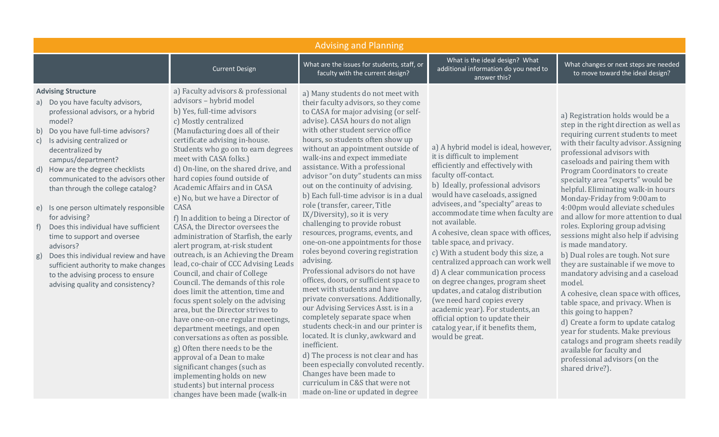| <b>Advising and Planning</b>                                                                                                                                                                                                                                                                                                                                                                                                                                                                                                                                                                                                                                                    |                                                                                                                                                                                                                                                                                                                                                                                                                                                                                                                                                                                                                                                                                                                                                                                                                                                                                                                                                                                                                                                                                                                                                            |                                                                                                                                                                                                                                                                                                                                                                                                                                                                                                                                                                                                                                                                                                                                                                                                                                                                                                                                                                                                                                                                                                                                                                                                               |                                                                                                                                                                                                                                                                                                                                                                                                                                                                                                                                                                                                                                                                                                                                    |                                                                                                                                                                                                                                                                                                                                                                                                                                                                                                                                                                                                                                                                                                                                                                                                                                                                                                                                                                                         |
|---------------------------------------------------------------------------------------------------------------------------------------------------------------------------------------------------------------------------------------------------------------------------------------------------------------------------------------------------------------------------------------------------------------------------------------------------------------------------------------------------------------------------------------------------------------------------------------------------------------------------------------------------------------------------------|------------------------------------------------------------------------------------------------------------------------------------------------------------------------------------------------------------------------------------------------------------------------------------------------------------------------------------------------------------------------------------------------------------------------------------------------------------------------------------------------------------------------------------------------------------------------------------------------------------------------------------------------------------------------------------------------------------------------------------------------------------------------------------------------------------------------------------------------------------------------------------------------------------------------------------------------------------------------------------------------------------------------------------------------------------------------------------------------------------------------------------------------------------|---------------------------------------------------------------------------------------------------------------------------------------------------------------------------------------------------------------------------------------------------------------------------------------------------------------------------------------------------------------------------------------------------------------------------------------------------------------------------------------------------------------------------------------------------------------------------------------------------------------------------------------------------------------------------------------------------------------------------------------------------------------------------------------------------------------------------------------------------------------------------------------------------------------------------------------------------------------------------------------------------------------------------------------------------------------------------------------------------------------------------------------------------------------------------------------------------------------|------------------------------------------------------------------------------------------------------------------------------------------------------------------------------------------------------------------------------------------------------------------------------------------------------------------------------------------------------------------------------------------------------------------------------------------------------------------------------------------------------------------------------------------------------------------------------------------------------------------------------------------------------------------------------------------------------------------------------------|-----------------------------------------------------------------------------------------------------------------------------------------------------------------------------------------------------------------------------------------------------------------------------------------------------------------------------------------------------------------------------------------------------------------------------------------------------------------------------------------------------------------------------------------------------------------------------------------------------------------------------------------------------------------------------------------------------------------------------------------------------------------------------------------------------------------------------------------------------------------------------------------------------------------------------------------------------------------------------------------|
|                                                                                                                                                                                                                                                                                                                                                                                                                                                                                                                                                                                                                                                                                 | <b>Current Design</b>                                                                                                                                                                                                                                                                                                                                                                                                                                                                                                                                                                                                                                                                                                                                                                                                                                                                                                                                                                                                                                                                                                                                      | What are the issues for students, staff, or<br>faculty with the current design?                                                                                                                                                                                                                                                                                                                                                                                                                                                                                                                                                                                                                                                                                                                                                                                                                                                                                                                                                                                                                                                                                                                               | What is the ideal design? What<br>additional information do you need to<br>answer this?                                                                                                                                                                                                                                                                                                                                                                                                                                                                                                                                                                                                                                            | What changes or next steps are needed<br>to move toward the ideal design?                                                                                                                                                                                                                                                                                                                                                                                                                                                                                                                                                                                                                                                                                                                                                                                                                                                                                                               |
| <b>Advising Structure</b><br>a) Do you have faculty advisors,<br>professional advisors, or a hybrid<br>model?<br>Do you have full-time advisors?<br>b)<br>Is advising centralized or<br>C)<br>decentralized by<br>campus/department?<br>How are the degree checklists<br>d)<br>communicated to the advisors other<br>than through the college catalog?<br>Is one person ultimately responsible<br>e)<br>for advising?<br>Does this individual have sufficient<br>f)<br>time to support and oversee<br>advisors?<br>Does this individual review and have<br>g)<br>sufficient authority to make changes<br>to the advising process to ensure<br>advising quality and consistency? | a) Faculty advisors & professional<br>advisors - hybrid model<br>b) Yes, full-time advisors<br>c) Mostly centralized<br>(Manufacturing does all of their<br>certificate advising in-house.<br>Students who go on to earn degrees<br>meet with CASA folks.)<br>d) On-line, on the shared drive, and<br>hard copies found outside of<br>Academic Affairs and in CASA<br>e) No, but we have a Director of<br>CASA<br>f) In addition to being a Director of<br>CASA, the Director oversees the<br>administration of Starfish, the early<br>alert program, at-risk student<br>outreach, is an Achieving the Dream<br>lead, co-chair of CCC Advising Leads<br>Council, and chair of College<br>Council. The demands of this role<br>does limit the attention, time and<br>focus spent solely on the advising<br>area, but the Director strives to<br>have one-on-one regular meetings,<br>department meetings, and open<br>conversations as often as possible.<br>g) Often there needs to be the<br>approval of a Dean to make<br>significant changes (such as<br>implementing holds on new<br>students) but internal process<br>changes have been made (walk-in | a) Many students do not meet with<br>their faculty advisors, so they come<br>to CASA for major advising (or self-<br>advise). CASA hours do not align<br>with other student service office<br>hours, so students often show up<br>without an appointment outside of<br>walk-ins and expect immediate<br>assistance. With a professional<br>advisor "on duty" students can miss<br>out on the continuity of advising.<br>b) Each full-time advisor is in a dual<br>role (transfer, career, Title<br>IX/Diversity), so it is very<br>challenging to provide robust<br>resources, programs, events, and<br>one-on-one appointments for those<br>roles beyond covering registration<br>advising.<br>Professional advisors do not have<br>offices, doors, or sufficient space to<br>meet with students and have<br>private conversations. Additionally,<br>our Advising Services Asst. is in a<br>completely separate space when<br>students check-in and our printer is<br>located. It is clunky, awkward and<br>inefficient.<br>d) The process is not clear and has<br>been especially convoluted recently.<br>Changes have been made to<br>curriculum in C&S that were not<br>made on-line or updated in degree | a) A hybrid model is ideal, however,<br>it is difficult to implement<br>efficiently and effectively with<br>faculty off-contact.<br>b) Ideally, professional advisors<br>would have caseloads, assigned<br>advisees, and "specialty" areas to<br>accommodate time when faculty are<br>not available.<br>A cohesive, clean space with offices,<br>table space, and privacy.<br>c) With a student body this size, a<br>centralized approach can work well<br>d) A clear communication process<br>on degree changes, program sheet<br>updates, and catalog distribution<br>(we need hard copies every<br>academic year). For students, an<br>official option to update their<br>catalog year, if it benefits them,<br>would be great. | a) Registration holds would be a<br>step in the right direction as well as<br>requiring current students to meet<br>with their faculty advisor. Assigning<br>professional advisors with<br>caseloads and pairing them with<br>Program Coordinators to create<br>specialty area "experts" would be<br>helpful. Eliminating walk-in hours<br>Monday-Friday from 9:00am to<br>4:00pm would alleviate schedules<br>and allow for more attention to dual<br>roles. Exploring group advising<br>sessions might also help if advising<br>is made mandatory.<br>b) Dual roles are tough. Not sure<br>they are sustainable if we move to<br>mandatory advising and a caseload<br>model.<br>A cohesive, clean space with offices,<br>table space, and privacy. When is<br>this going to happen?<br>d) Create a form to update catalog<br>year for students. Make previous<br>catalogs and program sheets readily<br>available for faculty and<br>professional advisors (on the<br>shared drive?). |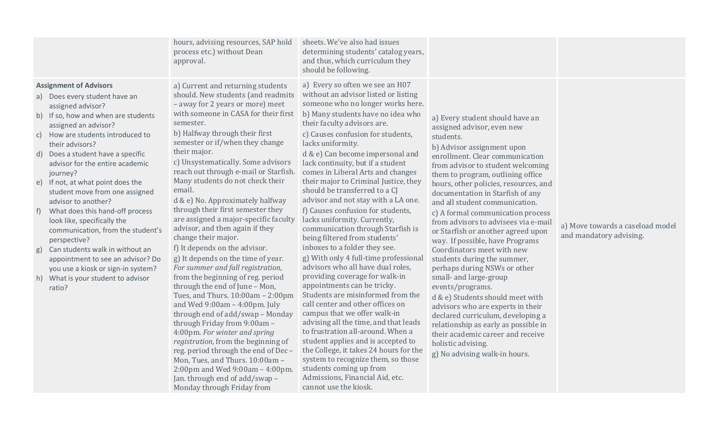| a) Every so often we see an H07<br><b>Assignment of Advisors</b><br>a) Current and returning students<br>without an advisor listed or listing<br>should. New students (and readmits<br>a) Does every student have an<br>someone who no longer works here.<br>- away for 2 years or more) meet<br>assigned advisor?<br>with someone in CASA for their first<br>b) Many students have no idea who<br>b) If so, how and when are students<br>a) Every student should have an<br>semester.<br>their faculty advisors are.<br>assigned an advisor?<br>assigned advisor, even new<br>b) Halfway through their first<br>c) Causes confusion for students,<br>How are students introduced to<br>C)<br>students.<br>semester or if/when they change<br>lacks uniformity.<br>their advisors?<br>b) Advisor assignment upon<br>their major.<br>Does a student have a specific<br>d & e) Can become impersonal and<br>d)<br>enrollment. Clear communication<br>c) Unsystematically. Some advisors<br>lack continuity, but if a student<br>advisor for the entire academic<br>from advisor to student welcoming<br>reach out through e-mail or Starfish.<br>comes in Liberal Arts and changes<br>journey?<br>them to program, outlining office<br>Many students do not check their<br>their major to Criminal Justice, they<br>If not, at what point does the<br>e)<br>hours, other policies, resources, and<br>email.<br>should be transferred to a CJ<br>student move from one assigned<br>documentation in Starfish of any<br>advisor and not stay with a LA one.<br>d & e) No. Approximately halfway<br>advisor to another?<br>and all student communication.<br>through their first semester they<br>f) Causes confusion for students,<br>What does this hand-off process<br>$-f)$<br>c) A formal communication process<br>are assigned a major-specific faculty<br>lacks uniformity. Currently,<br>look like, specifically the<br>from advisors to advisees via e-mail<br>a) Move towards a caseload model<br>advisor, and then again if they<br>communication through Starfish is<br>communication, from the student's<br>or Starfish or another agreed upon<br>and mandatory advising.<br>change their major.<br>being filtered from students'<br>perspective?<br>way. If possible, have Programs<br>inboxes to a folder they see.<br>f) It depends on the advisor.<br>Can students walk in without an<br>Coordinators meet with new<br>g)<br>g) With only 4 full-time professional<br>g) It depends on the time of year.<br>students during the summer,<br>appointment to see an advisor? Do<br>advisors who all have dual roles,<br>For summer and fall registration,<br>perhaps during NSWs or other<br>you use a kiosk or sign-in system?<br>providing coverage for walk-in<br>from the beginning of reg. period<br>small- and large-group<br>What is your student to advisor<br>h)<br>appointments can be tricky.<br>through the end of June - Mon,<br>events/programs.<br>ratio?<br>Students are misinformed from the<br>Tues, and Thurs. 10:00am - 2:00pm<br>d & e) Students should meet with<br>call center and other offices on<br>and Wed $9:00am - 4:00pm.$ July<br>advisors who are experts in their<br>campus that we offer walk-in<br>through end of add/swap - Monday<br>declared curriculum, developing a<br>advising all the time, and that leads<br>through Friday from 9:00am -<br>relationship as early as possible in<br>to frustration all-around. When a<br>4:00pm. For winter and spring<br>their academic career and receive<br>student applies and is accepted to<br>registration, from the beginning of<br>holistic advising.<br>the College, it takes 24 hours for the<br>reg. period through the end of Dec-<br>g) No advising walk-in hours.<br>system to recognize them, so those<br>Mon, Tues, and Thurs. 10:00am -<br>students coming up from<br>2:00pm and Wed 9:00am - 4:00pm.<br>Admissions, Financial Aid, etc.<br>Jan. through end of add/swap -<br>cannot use the kiosk.<br>Monday through Friday from | hours, advising resources, SAP hold<br>process etc.) without Dean<br>approval. | sheets. We've also had issues<br>determining students' catalog years,<br>and thus, which curriculum they<br>should be following. |  |
|------------------------------------------------------------------------------------------------------------------------------------------------------------------------------------------------------------------------------------------------------------------------------------------------------------------------------------------------------------------------------------------------------------------------------------------------------------------------------------------------------------------------------------------------------------------------------------------------------------------------------------------------------------------------------------------------------------------------------------------------------------------------------------------------------------------------------------------------------------------------------------------------------------------------------------------------------------------------------------------------------------------------------------------------------------------------------------------------------------------------------------------------------------------------------------------------------------------------------------------------------------------------------------------------------------------------------------------------------------------------------------------------------------------------------------------------------------------------------------------------------------------------------------------------------------------------------------------------------------------------------------------------------------------------------------------------------------------------------------------------------------------------------------------------------------------------------------------------------------------------------------------------------------------------------------------------------------------------------------------------------------------------------------------------------------------------------------------------------------------------------------------------------------------------------------------------------------------------------------------------------------------------------------------------------------------------------------------------------------------------------------------------------------------------------------------------------------------------------------------------------------------------------------------------------------------------------------------------------------------------------------------------------------------------------------------------------------------------------------------------------------------------------------------------------------------------------------------------------------------------------------------------------------------------------------------------------------------------------------------------------------------------------------------------------------------------------------------------------------------------------------------------------------------------------------------------------------------------------------------------------------------------------------------------------------------------------------------------------------------------------------------------------------------------------------------------------------------------------------------------------------------------------------------------------------------------------------------------------------------------------------------------------------------------------------------------------------------------------------------------------------------------------------------------------------------------------------------------------------------------------------------------------------------------------------------------------------------------------------------------------------------------------------------|--------------------------------------------------------------------------------|----------------------------------------------------------------------------------------------------------------------------------|--|
|                                                                                                                                                                                                                                                                                                                                                                                                                                                                                                                                                                                                                                                                                                                                                                                                                                                                                                                                                                                                                                                                                                                                                                                                                                                                                                                                                                                                                                                                                                                                                                                                                                                                                                                                                                                                                                                                                                                                                                                                                                                                                                                                                                                                                                                                                                                                                                                                                                                                                                                                                                                                                                                                                                                                                                                                                                                                                                                                                                                                                                                                                                                                                                                                                                                                                                                                                                                                                                                                                                                                                                                                                                                                                                                                                                                                                                                                                                                                                                                                                                          |                                                                                |                                                                                                                                  |  |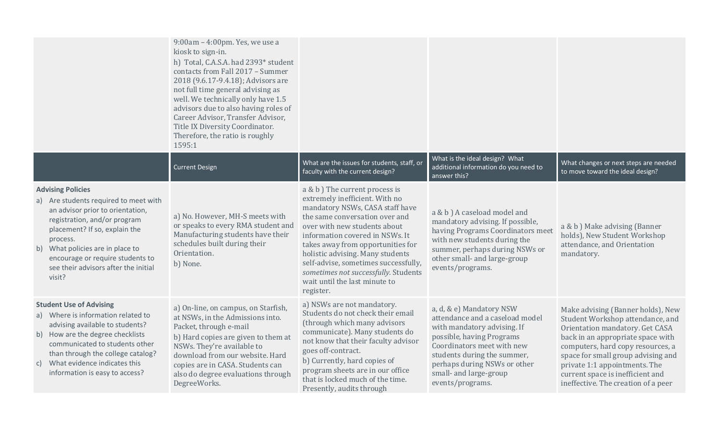|                                                                                                                                                                                                                                                                                                              | $9:00$ am $-4:00$ pm. Yes, we use a<br>kiosk to sign-in.<br>h) Total, C.A.S.A. had 2393* student<br>contacts from Fall 2017 - Summer<br>2018 (9.6.17-9.4.18); Advisors are<br>not full time general advising as<br>well. We technically only have 1.5<br>advisors due to also having roles of<br>Career Advisor, Transfer Advisor,<br>Title IX Diversity Coordinator.<br>Therefore, the ratio is roughly<br>1595:1 |                                                                                                                                                                                                                                                                                                                                                                                                                 |                                                                                                                                                                                                                                                                    |                                                                                                                                                                                                                                                                                                                                      |
|--------------------------------------------------------------------------------------------------------------------------------------------------------------------------------------------------------------------------------------------------------------------------------------------------------------|--------------------------------------------------------------------------------------------------------------------------------------------------------------------------------------------------------------------------------------------------------------------------------------------------------------------------------------------------------------------------------------------------------------------|-----------------------------------------------------------------------------------------------------------------------------------------------------------------------------------------------------------------------------------------------------------------------------------------------------------------------------------------------------------------------------------------------------------------|--------------------------------------------------------------------------------------------------------------------------------------------------------------------------------------------------------------------------------------------------------------------|--------------------------------------------------------------------------------------------------------------------------------------------------------------------------------------------------------------------------------------------------------------------------------------------------------------------------------------|
|                                                                                                                                                                                                                                                                                                              | <b>Current Design</b>                                                                                                                                                                                                                                                                                                                                                                                              | What are the issues for students, staff, or<br>faculty with the current design?                                                                                                                                                                                                                                                                                                                                 | What is the ideal design? What<br>additional information do you need to<br>answer this?                                                                                                                                                                            | What changes or next steps are needed<br>to move toward the ideal design?                                                                                                                                                                                                                                                            |
| <b>Advising Policies</b><br>a) Are students required to meet with<br>an advisor prior to orientation,<br>registration, and/or program<br>placement? If so, explain the<br>process.<br>b) What policies are in place to<br>encourage or require students to<br>see their advisors after the initial<br>visit? | a) No. However, MH-S meets with<br>or speaks to every RMA student and<br>Manufacturing students have their<br>schedules built during their<br>Orientation.<br>b) None.                                                                                                                                                                                                                                             | a & b ) The current process is<br>extremely inefficient. With no<br>mandatory NSWs, CASA staff have<br>the same conversation over and<br>over with new students about<br>information covered in NSWs. It<br>takes away from opportunities for<br>holistic advising. Many students<br>self-advise, sometimes successfully,<br>sometimes not successfully. Students<br>wait until the last minute to<br>register. | a & b ) A caseload model and<br>mandatory advising. If possible,<br>having Programs Coordinators meet<br>with new students during the<br>summer, perhaps during NSWs or<br>other small- and large-group<br>events/programs.                                        | a & b ) Make advising (Banner<br>holds), New Student Workshop<br>attendance, and Orientation<br>mandatory.                                                                                                                                                                                                                           |
| <b>Student Use of Advising</b><br>a) Where is information related to<br>advising available to students?<br>b) How are the degree checklists<br>communicated to students other<br>than through the college catalog?<br>What evidence indicates this<br>C)<br>information is easy to access?                   | a) On-line, on campus, on Starfish,<br>at NSWs, in the Admissions into.<br>Packet, through e-mail<br>b) Hard copies are given to them at<br>NSWs. They're available to<br>download from our website. Hard<br>copies are in CASA. Students can<br>also do degree evaluations through<br>DegreeWorks.                                                                                                                | a) NSWs are not mandatory.<br>Students do not check their email<br>(through which many advisors<br>communicate). Many students do<br>not know that their faculty advisor<br>goes off-contract.<br>b) Currently, hard copies of<br>program sheets are in our office<br>that is locked much of the time.<br>Presently, audits through                                                                             | a, d, & e) Mandatory NSW<br>attendance and a caseload model<br>with mandatory advising. If<br>possible, having Programs<br>Coordinators meet with new<br>students during the summer,<br>perhaps during NSWs or other<br>small- and large-group<br>events/programs. | Make advising (Banner holds), New<br>Student Workshop attendance, and<br>Orientation mandatory. Get CASA<br>back in an appropriate space with<br>computers, hard copy resources, a<br>space for small group advising and<br>private 1:1 appointments. The<br>current space is inefficient and<br>ineffective. The creation of a peer |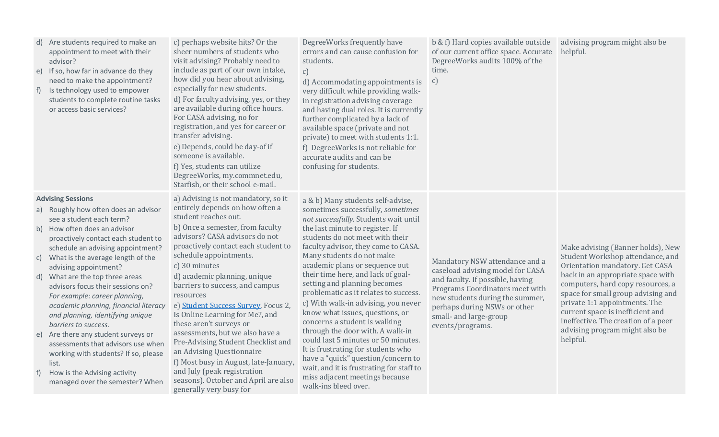| DegreeWorks frequently have<br>c) perhaps website hits? Or the<br>b & f) Hard copies available outside<br>advising program might also be<br>Are students required to make an<br>d)<br>sheer numbers of students who<br>errors and can cause confusion for<br>of our current office space. Accurate<br>helpful.<br>appointment to meet with their<br>DegreeWorks audits 100% of the<br>visit advising? Probably need to<br>students.<br>advisor?<br>include as part of our own intake,<br>time.<br>If so, how far in advance do they<br>$\mathcal{C}$<br>e)<br>how did you hear about advising,<br>need to make the appointment?<br>c)<br>d) Accommodating appointments is<br>especially for new students.<br>Is technology used to empower<br>very difficult while providing walk-<br>$\ddagger$<br>d) For faculty advising, yes, or they<br>students to complete routine tasks<br>in registration advising coverage<br>are available during office hours.<br>or access basic services?<br>and having dual roles. It is currently<br>For CASA advising, no for<br>further complicated by a lack of<br>registration, and yes for career or<br>available space (private and not<br>transfer advising.<br>private) to meet with students 1:1.<br>e) Depends, could be day-of if<br>f) DegreeWorks is not reliable for<br>someone is available.<br>accurate audits and can be<br>f) Yes, students can utilize<br>confusing for students.<br>DegreeWorks, my.commnet.edu,<br>Starfish, or their school e-mail.<br>a) Advising is not mandatory, so it<br><b>Advising Sessions</b><br>a & b) Many students self-advise,<br>entirely depends on how often a<br>Roughly how often does an advisor<br>sometimes successfully, sometimes<br>a)<br>student reaches out.<br>not successfully. Students wait until<br>see a student each term?<br>b) Once a semester, from faculty<br>the last minute to register. If<br>How often does an advisor<br>b)<br>advisors? CASA advisors do not<br>students do not meet with their<br>proactively contact each student to<br>proactively contact each student to<br>faculty advisor, they come to CASA.<br>Make advising (Banner holds), New<br>schedule an advising appointment?<br>schedule appointments.<br>Many students do not make<br>Student Workshop attendance, and<br>What is the average length of the<br>C)<br>Mandatory NSW attendance and a<br>academic plans or sequence out<br>Orientation mandatory. Get CASA<br>c) 30 minutes<br>advising appointment?<br>caseload advising model for CASA<br>their time here, and lack of goal-<br>back in an appropriate space with<br>What are the top three areas<br>d) academic planning, unique<br>d)<br>and faculty. If possible, having<br>setting and planning becomes<br>computers, hard copy resources, a<br>barriers to success, and campus<br>advisors focus their sessions on?<br>Programs Coordinators meet with<br>problematic as it relates to success.<br>space for small group advising and<br>resources<br>For example: career planning,<br>new students during the summer,<br>private 1:1 appointments. The<br>c) With walk-in advising, you never<br>academic planning, financial literacy<br>e) Student Success Survey, Focus 2,<br>perhaps during NSWs or other<br>current space is inefficient and<br>know what issues, questions, or<br>Is Online Learning for Me?, and<br>and planning, identifying unique<br>small- and large-group<br>ineffective. The creation of a peer<br>concerns a student is walking<br>these aren't surveys or<br>barriers to success.<br>events/programs.<br>advising program might also be<br>through the door with. A walk-in<br>assessments, but we also have a<br>Are there any student surveys or<br>e)<br>helpful.<br>could last 5 minutes or 50 minutes.<br>Pre-Advising Student Checklist and<br>assessments that advisors use when<br>It is frustrating for students who<br>an Advising Questionnaire<br>working with students? If so, please<br>have a "quick" question/concern to<br>f) Most busy in August, late-January,<br>list.<br>wait, and it is frustrating for staff to<br>and July (peak registration<br>How is the Advising activity<br>$\uparrow$<br>miss adjacent meetings because<br>seasons). October and April are also<br>managed over the semester? When<br>walk-ins bleed over.<br>generally very busy for |  |  |  |
|------------------------------------------------------------------------------------------------------------------------------------------------------------------------------------------------------------------------------------------------------------------------------------------------------------------------------------------------------------------------------------------------------------------------------------------------------------------------------------------------------------------------------------------------------------------------------------------------------------------------------------------------------------------------------------------------------------------------------------------------------------------------------------------------------------------------------------------------------------------------------------------------------------------------------------------------------------------------------------------------------------------------------------------------------------------------------------------------------------------------------------------------------------------------------------------------------------------------------------------------------------------------------------------------------------------------------------------------------------------------------------------------------------------------------------------------------------------------------------------------------------------------------------------------------------------------------------------------------------------------------------------------------------------------------------------------------------------------------------------------------------------------------------------------------------------------------------------------------------------------------------------------------------------------------------------------------------------------------------------------------------------------------------------------------------------------------------------------------------------------------------------------------------------------------------------------------------------------------------------------------------------------------------------------------------------------------------------------------------------------------------------------------------------------------------------------------------------------------------------------------------------------------------------------------------------------------------------------------------------------------------------------------------------------------------------------------------------------------------------------------------------------------------------------------------------------------------------------------------------------------------------------------------------------------------------------------------------------------------------------------------------------------------------------------------------------------------------------------------------------------------------------------------------------------------------------------------------------------------------------------------------------------------------------------------------------------------------------------------------------------------------------------------------------------------------------------------------------------------------------------------------------------------------------------------------------------------------------------------------------------------------------------------------------------------------------------------------------------------------------------------------------------------------------------------------------------------------------------------------------------------------------------------------------------------------------------------------------------------------------------------------------------------------------------------------------------------------------------------------------------------------------------------------------------------------------------------------------------------------------------------------------------------------------------------------------------------------------------------------------------|--|--|--|
|                                                                                                                                                                                                                                                                                                                                                                                                                                                                                                                                                                                                                                                                                                                                                                                                                                                                                                                                                                                                                                                                                                                                                                                                                                                                                                                                                                                                                                                                                                                                                                                                                                                                                                                                                                                                                                                                                                                                                                                                                                                                                                                                                                                                                                                                                                                                                                                                                                                                                                                                                                                                                                                                                                                                                                                                                                                                                                                                                                                                                                                                                                                                                                                                                                                                                                                                                                                                                                                                                                                                                                                                                                                                                                                                                                                                                                                                                                                                                                                                                                                                                                                                                                                                                                                                                                                                                                              |  |  |  |
|                                                                                                                                                                                                                                                                                                                                                                                                                                                                                                                                                                                                                                                                                                                                                                                                                                                                                                                                                                                                                                                                                                                                                                                                                                                                                                                                                                                                                                                                                                                                                                                                                                                                                                                                                                                                                                                                                                                                                                                                                                                                                                                                                                                                                                                                                                                                                                                                                                                                                                                                                                                                                                                                                                                                                                                                                                                                                                                                                                                                                                                                                                                                                                                                                                                                                                                                                                                                                                                                                                                                                                                                                                                                                                                                                                                                                                                                                                                                                                                                                                                                                                                                                                                                                                                                                                                                                                              |  |  |  |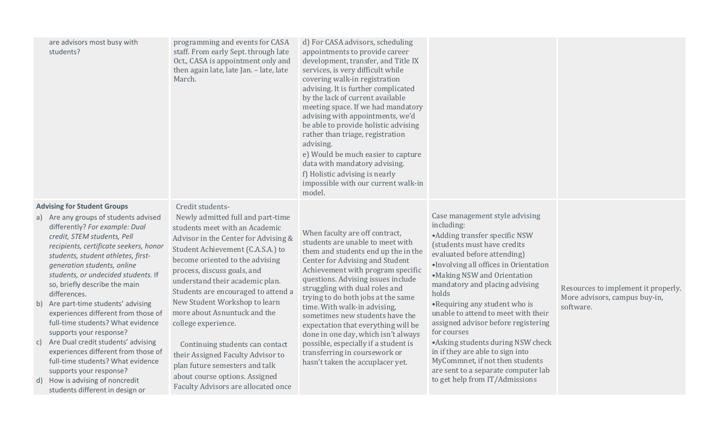| are advisors most busy with<br>students?                                                                                                                                                                                                                                                                                                                                                                                                                                                                                                                                                                                                                                                                                | programming and events for CASA<br>staff. From early Sept. through late<br>Oct., CASA is appointment only and<br>then again late, late Jan. - late, late<br>March.                                                                                                                                                                                                                                                                                                                                                                                                                          | d) For CASA advisors, scheduling<br>appointments to provide career<br>development, transfer, and Title IX<br>services, is very difficult while<br>covering walk-in registration<br>advising. It is further complicated<br>by the lack of current available<br>meeting space. If we had mandatory<br>advising with appointments, we'd<br>be able to provide holistic advising<br>rather than triage, registration<br>advising.<br>e) Would be much easier to capture<br>data with mandatory advising.<br>f) Holistic advising is nearly<br>impossible with our current walk-in<br>model. |                                                                                                                                                                                                                                                                                                                                                                                                                                                                                                                                                                                     |                                                                                   |
|-------------------------------------------------------------------------------------------------------------------------------------------------------------------------------------------------------------------------------------------------------------------------------------------------------------------------------------------------------------------------------------------------------------------------------------------------------------------------------------------------------------------------------------------------------------------------------------------------------------------------------------------------------------------------------------------------------------------------|---------------------------------------------------------------------------------------------------------------------------------------------------------------------------------------------------------------------------------------------------------------------------------------------------------------------------------------------------------------------------------------------------------------------------------------------------------------------------------------------------------------------------------------------------------------------------------------------|-----------------------------------------------------------------------------------------------------------------------------------------------------------------------------------------------------------------------------------------------------------------------------------------------------------------------------------------------------------------------------------------------------------------------------------------------------------------------------------------------------------------------------------------------------------------------------------------|-------------------------------------------------------------------------------------------------------------------------------------------------------------------------------------------------------------------------------------------------------------------------------------------------------------------------------------------------------------------------------------------------------------------------------------------------------------------------------------------------------------------------------------------------------------------------------------|-----------------------------------------------------------------------------------|
| <b>Advising for Student Groups</b><br>a) Are any groups of students advised<br>differently? For example: Dual<br>credit, STEM students, Pell<br>recipients, certificate seekers, honor<br>students, student athletes, first-<br>generation students, online<br>students, or undecided students. If<br>so, briefly describe the main<br>differences.<br>b) Are part-time students' advising<br>experiences different from those of<br>full-time students? What evidence<br>supports your response?<br>c) Are Dual credit students' advising<br>experiences different from those of<br>full-time students? What evidence<br>supports your response?<br>d) How is advising of noncredit<br>students different in design or | Credit students-<br>Newly admitted full and part-time<br>students meet with an Academic<br>Advisor in the Center for Advising &<br>Student Achievement (C.A.S.A.) to<br>become oriented to the advising<br>process, discuss goals, and<br>understand their academic plan.<br>Students are encouraged to attend a<br>New Student Workshop to learn<br>more about Asnuntuck and the<br>college experience.<br>Continuing students can contact<br>their Assigned Faculty Advisor to<br>plan future semesters and talk<br>about course options. Assigned<br>Faculty Advisors are allocated once | When faculty are off contract,<br>students are unable to meet with<br>them and students end up the in the<br>Center for Advising and Student<br>Achievement with program specific<br>questions. Advising issues include<br>struggling with dual roles and<br>trying to do both jobs at the same<br>time. With walk-in advising,<br>sometimes new students have the<br>expectation that everything will be<br>done in one day, which isn't always<br>possible, especially if a student is<br>transferring in coursework or<br>hasn't taken the accuplacer yet.                           | Case management style advising<br>including:<br>• Adding transfer specific NSW<br>(students must have credits<br>evaluated before attending)<br>·Involving all offices in Orientation<br>•Making NSW and Orientation<br>mandatory and placing advising<br>holds<br>•Requiring any student who is<br>unable to attend to meet with their<br>assigned advisor before registering<br>for courses<br>• Asking students during NSW check<br>in if they are able to sign into<br>MyCommnet, if not then students<br>are sent to a separate computer lab<br>to get help from IT/Admissions | Resources to implement it properly.<br>More advisors, campus buy-in,<br>software. |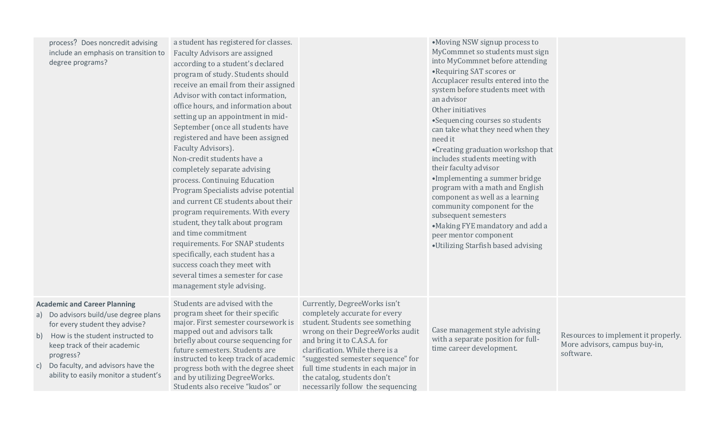| process? Does noncredit advising     |  |  |  |  |  |
|--------------------------------------|--|--|--|--|--|
| include an emphasis on transition to |  |  |  |  |  |
| degree programs?                     |  |  |  |  |  |

a student has registered for classes. Faculty Advisors are assigned according to a student's declared program of study. Students should receive an email from their assigned Advisor with contact information, office hours, and information about setting up an appointment in mid-September (once all students have registered and have been assigned Faculty Advisors). Non-credit students have a completely separate advising process. Continuing Education Program Specialists advise potential and current CE students about their program requirements. With every student, they talk about program and time commitment requirements. For SNAP students specifically, each student has a success coach they meet with several times a semester for case management style advising.

#### **Academic and Career Planning**

- a) Do advisors build/use degree plans for every student they advise?
- b) How is the student instructed to keep track of their academic progress?
- c) Do faculty, and advisors have the ability to easily monitor a student's

Students are advised with the program sheet for their specific major. First semester coursework is mapped out and advisors talk briefly about course sequencing for future semesters. Students are instructed to keep track of academic progress both with the degree sheet and by utilizing DegreeWorks. Students also receive "kudos" or

Currently, DegreeWorks isn't completely accurate for every student. Students see something wrong on their DegreeWorks audit and bring it to C.A.S.A. for clarification. While there is a "suggested semester sequence" for full time students in each major in the catalog, students don't necessarily follow the sequencing

Case management style advising with a separate position for full-

time career development.

Resources to implement it properly. More advisors, campus buy-in, software.

MyCommnet so students must sign into MyCommnet before attending •Requiring SAT scores or Accuplacer results entered into the system before students meet with an advisor Other initiatives •Sequencing courses so students can take what they need when they need it •Creating graduation workshop that includes students meeting with their faculty advisor •Implementing a summer bridge program with a math and English component as well as a learning community component for the subsequent semesters •Making FYE mandatory and add a peer mentor component •Utilizing Starfish based advising

•Moving NSW signup process to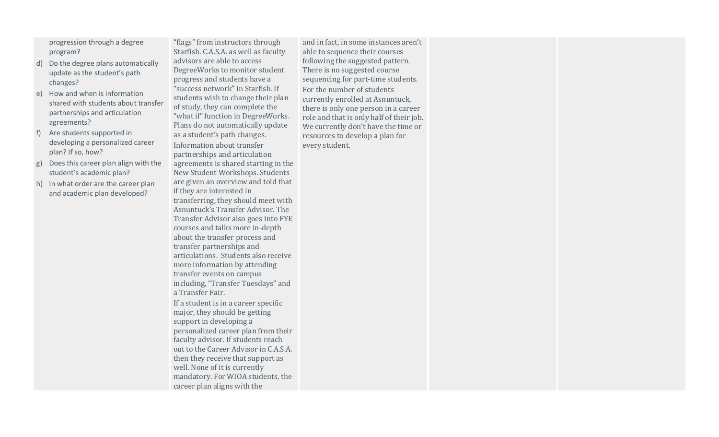progression through a degree program?

- d) Do the degree plans automatically update as the student's path changes?
- e) How and when is information shared with students about transfer partnerships and articulation agreements?
- f) Are students supported in developing a personalized career plan? If so, how?
- g) Does this career plan align with the student's academic plan?
- h) In what order are the career plan and academic plan developed?

"flags" from instructors through Starfish. C.A.S.A. as well as faculty advisors are able to access DegreeWorks to monitor student progress and students have a "success network" in Starfish. If students wish to change their plan of study, they can complete the "what if" function in DegreeWorks. Plans do not automatically update as a student's path changes. Information about transfer partnerships and articulation agreements is shared starting in the New Student Workshops. Students are given an overview and told that if they are interested in transferring, they should meet with Asnuntuck's Transfer Advisor. The Transfer Advisor also goes into FYE courses and talks more in-depth about the transfer process and transfer partnerships and articulations. Students also receive more information by attending transfer events on campus including, "Transfer Tuesdays" and

a Transfer Fair. If a student is in a career specific major, they should be getting support in developing a personalized career plan from their faculty advisor. If students reach out to the Career Advisor in C.A.S.A. then they receive that support as well. None of it is currently mandatory. For WIOA students, the career plan aligns with the

and in fact, in some instances aren't able to sequence their courses following the suggested pattern. There is no suggested course sequencing for part-time students. For the number of students currently enrolled at Asnuntuck, there is only one person in a career role and that is only half of their job. We currently don't have the time or resources to develop a plan for every student.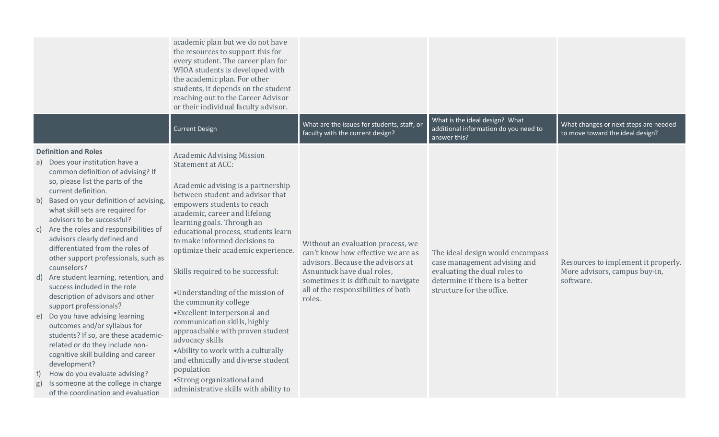|                                                                                                                                                                                                                                                                                                                                                                                                                                                                                                                                                                                                                                                                                                                                                                                                                                                                                                                                                | academic plan but we do not have<br>the resources to support this for<br>every student. The career plan for<br>WIOA students is developed with<br>the academic plan. For other<br>students, it depends on the student<br>reaching out to the Career Advisor<br>or their individual faculty advisor.                                                                                                                                                                                                                                                                                                                                                                                                                                     |                                                                                                                                                                                                                                      | What is the ideal design? What                                                                                                                                  |                                                                                   |
|------------------------------------------------------------------------------------------------------------------------------------------------------------------------------------------------------------------------------------------------------------------------------------------------------------------------------------------------------------------------------------------------------------------------------------------------------------------------------------------------------------------------------------------------------------------------------------------------------------------------------------------------------------------------------------------------------------------------------------------------------------------------------------------------------------------------------------------------------------------------------------------------------------------------------------------------|-----------------------------------------------------------------------------------------------------------------------------------------------------------------------------------------------------------------------------------------------------------------------------------------------------------------------------------------------------------------------------------------------------------------------------------------------------------------------------------------------------------------------------------------------------------------------------------------------------------------------------------------------------------------------------------------------------------------------------------------|--------------------------------------------------------------------------------------------------------------------------------------------------------------------------------------------------------------------------------------|-----------------------------------------------------------------------------------------------------------------------------------------------------------------|-----------------------------------------------------------------------------------|
|                                                                                                                                                                                                                                                                                                                                                                                                                                                                                                                                                                                                                                                                                                                                                                                                                                                                                                                                                | <b>Current Design</b>                                                                                                                                                                                                                                                                                                                                                                                                                                                                                                                                                                                                                                                                                                                   | What are the issues for students, staff, or<br>faculty with the current design?                                                                                                                                                      | additional information do you need to<br>answer this?                                                                                                           | What changes or next steps are needed<br>to move toward the ideal design?         |
| <b>Definition and Roles</b><br>a) Does your institution have a<br>common definition of advising? If<br>so, please list the parts of the<br>current definition.<br>Based on your definition of advising,<br>b)<br>what skill sets are required for<br>advisors to be successful?<br>c) Are the roles and responsibilities of<br>advisors clearly defined and<br>differentiated from the roles of<br>other support professionals, such as<br>counselors?<br>Are student learning, retention, and<br>d)<br>success included in the role<br>description of advisors and other<br>support professionals?<br>Do you have advising learning<br>e)<br>outcomes and/or syllabus for<br>students? If so, are these academic-<br>related or do they include non-<br>cognitive skill building and career<br>development?<br>How do you evaluate advising?<br>$\ddagger$<br>Is someone at the college in charge<br>g)<br>of the coordination and evaluation | <b>Academic Advising Mission</b><br>Statement at ACC:<br>Academic advising is a partnership<br>between student and advisor that<br>empowers students to reach<br>academic, career and lifelong<br>learning goals. Through an<br>educational process, students learn<br>to make informed decisions to<br>optimize their academic experience.<br>Skills required to be successful:<br>•Understanding of the mission of<br>the community college<br>• Excellent interpersonal and<br>communication skills, highly<br>approachable with proven student<br>advocacy skills<br>• Ability to work with a culturally<br>and ethnically and diverse student<br>population<br>•Strong organizational and<br>administrative skills with ability to | Without an evaluation process, we<br>can't know how effective we are as<br>advisors. Because the advisors at<br>Asnuntuck have dual roles,<br>sometimes it is difficult to navigate<br>all of the responsibilities of both<br>roles. | The ideal design would encompass<br>case management advising and<br>evaluating the dual roles to<br>determine if there is a better<br>structure for the office. | Resources to implement it properly.<br>More advisors, campus buy-in,<br>software. |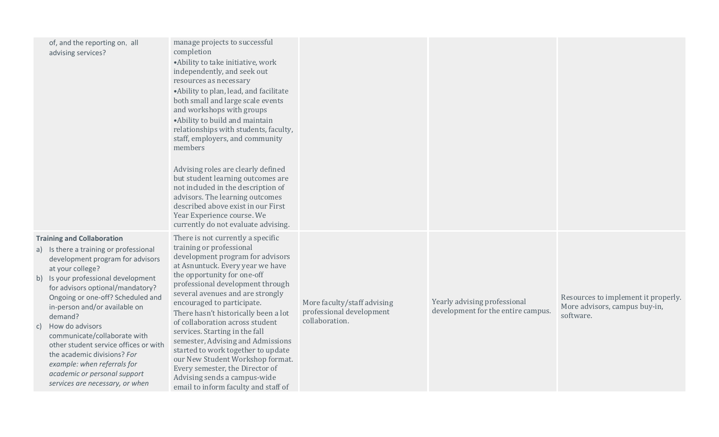|    | of, and the reporting on, all<br>advising services?                                                                                                                                                                                                                                                                                                                                                                                                                                                                          | manage projects to successful<br>completion<br>• Ability to take initiative, work<br>independently, and seek out<br>resources as necessary<br>•Ability to plan, lead, and facilitate<br>both small and large scale events<br>and workshops with groups<br>• Ability to build and maintain<br>relationships with students, faculty,<br>staff, employers, and community<br>members<br>Advising roles are clearly defined<br>but student learning outcomes are<br>not included in the description of<br>advisors. The learning outcomes<br>described above exist in our First<br>Year Experience course. We<br>currently do not evaluate advising. |                                                                           |                                                                    |                                                                                   |
|----|------------------------------------------------------------------------------------------------------------------------------------------------------------------------------------------------------------------------------------------------------------------------------------------------------------------------------------------------------------------------------------------------------------------------------------------------------------------------------------------------------------------------------|-------------------------------------------------------------------------------------------------------------------------------------------------------------------------------------------------------------------------------------------------------------------------------------------------------------------------------------------------------------------------------------------------------------------------------------------------------------------------------------------------------------------------------------------------------------------------------------------------------------------------------------------------|---------------------------------------------------------------------------|--------------------------------------------------------------------|-----------------------------------------------------------------------------------|
| C) | <b>Training and Collaboration</b><br>a) Is there a training or professional<br>development program for advisors<br>at your college?<br>b) Is your professional development<br>for advisors optional/mandatory?<br>Ongoing or one-off? Scheduled and<br>in-person and/or available on<br>demand?<br>How do advisors<br>communicate/collaborate with<br>other student service offices or with<br>the academic divisions? For<br>example: when referrals for<br>academic or personal support<br>services are necessary, or when | There is not currently a specific<br>training or professional<br>development program for advisors<br>at Asnuntuck. Every year we have<br>the opportunity for one-off<br>professional development through<br>several avenues and are strongly<br>encouraged to participate.<br>There hasn't historically been a lot<br>of collaboration across student<br>services. Starting in the fall<br>semester, Advising and Admissions<br>started to work together to update<br>our New Student Workshop format.<br>Every semester, the Director of<br>Advising sends a campus-wide<br>email to inform faculty and staff of                               | More faculty/staff advising<br>professional development<br>collaboration. | Yearly advising professional<br>development for the entire campus. | Resources to implement it properly.<br>More advisors, campus buy-in,<br>software. |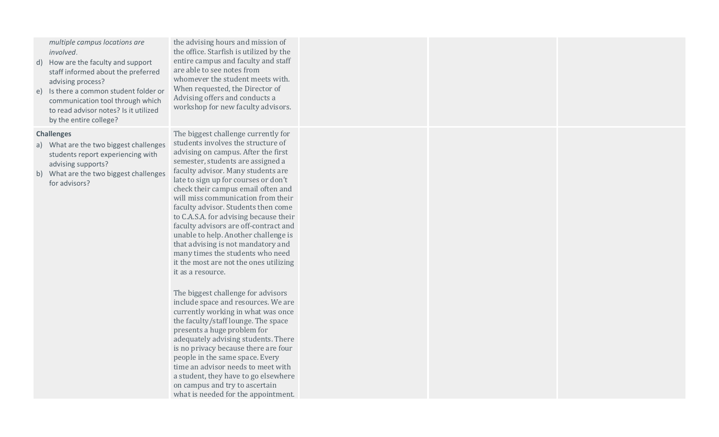| multiple campus locations are<br>involved.<br>d) How are the faculty and support<br>staff informed about the preferred<br>advising process?<br>Is there a common student folder or<br>e)<br>communication tool through which<br>to read advisor notes? Is it utilized<br>by the entire college? | the advising hours and mission of<br>the office. Starfish is utilized by the<br>entire campus and faculty and staff<br>are able to see notes from<br>whomever the student meets with.<br>When requested, the Director of<br>Advising offers and conducts a<br>workshop for new faculty advisors.                                                                                                                                                                                                                                                                                                                                                                                                                                                                                                                                                                                                                                                                                                                                                                                             |  |  |
|-------------------------------------------------------------------------------------------------------------------------------------------------------------------------------------------------------------------------------------------------------------------------------------------------|----------------------------------------------------------------------------------------------------------------------------------------------------------------------------------------------------------------------------------------------------------------------------------------------------------------------------------------------------------------------------------------------------------------------------------------------------------------------------------------------------------------------------------------------------------------------------------------------------------------------------------------------------------------------------------------------------------------------------------------------------------------------------------------------------------------------------------------------------------------------------------------------------------------------------------------------------------------------------------------------------------------------------------------------------------------------------------------------|--|--|
| <b>Challenges</b><br>a) What are the two biggest challenges<br>students report experiencing with<br>advising supports?<br>b) What are the two biggest challenges<br>for advisors?                                                                                                               | The biggest challenge currently for<br>students involves the structure of<br>advising on campus. After the first<br>semester, students are assigned a<br>faculty advisor. Many students are<br>late to sign up for courses or don't<br>check their campus email often and<br>will miss communication from their<br>faculty advisor. Students then come<br>to C.A.S.A. for advising because their<br>faculty advisors are off-contract and<br>unable to help. Another challenge is<br>that advising is not mandatory and<br>many times the students who need<br>it the most are not the ones utilizing<br>it as a resource.<br>The biggest challenge for advisors<br>include space and resources. We are<br>currently working in what was once<br>the faculty/staff lounge. The space<br>presents a huge problem for<br>adequately advising students. There<br>is no privacy because there are four<br>people in the same space. Every<br>time an advisor needs to meet with<br>a student, they have to go elsewhere<br>on campus and try to ascertain<br>what is needed for the appointment. |  |  |
|                                                                                                                                                                                                                                                                                                 |                                                                                                                                                                                                                                                                                                                                                                                                                                                                                                                                                                                                                                                                                                                                                                                                                                                                                                                                                                                                                                                                                              |  |  |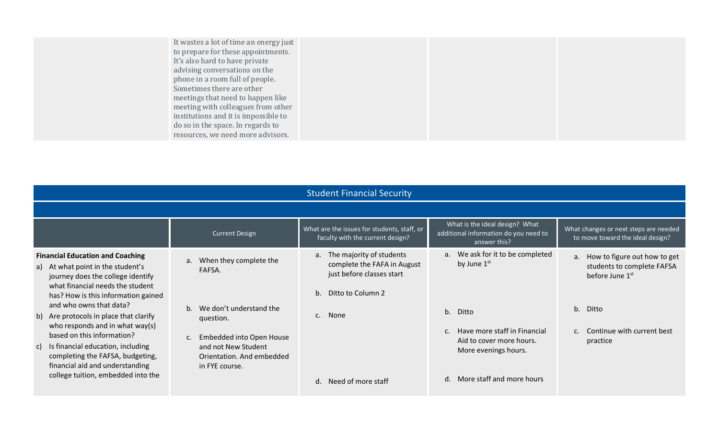| It wastes a lot of time an energy just |  |  |
|----------------------------------------|--|--|
| to prepare for these appointments.     |  |  |
| It's also hard to have private         |  |  |
| advising conversations on the          |  |  |
| phone in a room full of people.        |  |  |
| Sometimes there are other              |  |  |
| meetings that need to happen like      |  |  |
| meeting with colleagues from other     |  |  |
| institutions and it is impossible to   |  |  |
| do so in the space. In regards to      |  |  |
| resources, we need more advisors.      |  |  |

|                                                                                                                                                                                                                                                   | <b>Student Financial Security</b>                                                                                                      |                                                                                                                                |                                                                                                       |                                                                                     |  |  |  |
|---------------------------------------------------------------------------------------------------------------------------------------------------------------------------------------------------------------------------------------------------|----------------------------------------------------------------------------------------------------------------------------------------|--------------------------------------------------------------------------------------------------------------------------------|-------------------------------------------------------------------------------------------------------|-------------------------------------------------------------------------------------|--|--|--|
|                                                                                                                                                                                                                                                   |                                                                                                                                        |                                                                                                                                |                                                                                                       |                                                                                     |  |  |  |
|                                                                                                                                                                                                                                                   | <b>Current Design</b>                                                                                                                  | What are the issues for students, staff, or<br>faculty with the current design?                                                | What is the ideal design? What<br>additional information do you need to<br>answer this?               | What changes or next steps are needed<br>to move toward the ideal design?           |  |  |  |
| <b>Financial Education and Coaching</b><br>a) At what point in the student's<br>journey does the college identify<br>what financial needs the student<br>has? How is this information gained                                                      | When they complete the<br>a.<br>FAFSA.                                                                                                 | The majority of students<br>a.<br>complete the FAFA in August<br>just before classes start<br>Ditto to Column 2<br>$h_{\cdot}$ | a. We ask for it to be completed<br>by June 1st                                                       | How to figure out how to get<br>a.<br>students to complete FAFSA<br>before June 1st |  |  |  |
| and who owns that data?<br>b) Are protocols in place that clarify<br>who responds and in what way(s)<br>based on this information?<br>c) Is financial education, including<br>completing the FAFSA, budgeting,<br>financial aid and understanding | We don't understand the<br>question.<br>Embedded into Open House<br>and not New Student<br>Orientation. And embedded<br>in FYE course. | c. None                                                                                                                        | b.<br>Ditto<br>Have more staff in Financial<br>C.<br>Aid to cover more hours.<br>More evenings hours. | b. Ditto<br>Continue with current best<br>$\mathsf{C}$ .<br>practice                |  |  |  |
| college tuition, embedded into the                                                                                                                                                                                                                |                                                                                                                                        | d. Need of more staff                                                                                                          | More staff and more hours<br>d.                                                                       |                                                                                     |  |  |  |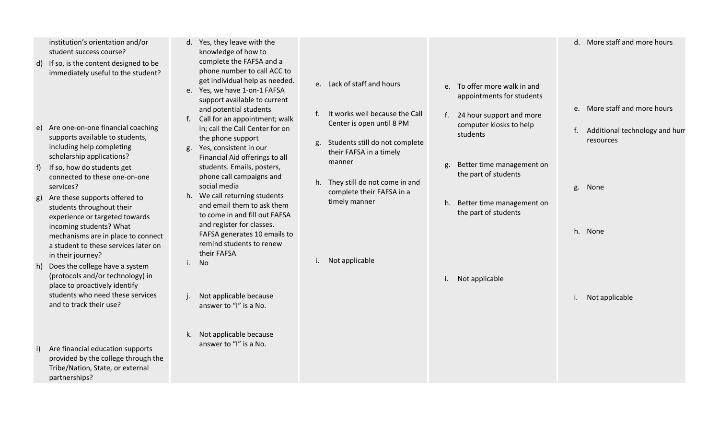|    | institution's orientation and/or<br>student success course?<br>d) If so, is the content designed to be<br>immediately useful to the student?                                                                               | d. Yes, they leave with the<br>knowledge of how to<br>complete the FAFSA and a<br>phone number to call ACC to<br>get individual help as needed.<br>e. Lack of staff and hours<br>e. To offer more walk in and<br>e. Yes, we have 1-on-1 FAFSA<br>appointments for students<br>support available to current                                                                                                                                                                                                                                                                            | d. More staff and more hours                                                       |
|----|----------------------------------------------------------------------------------------------------------------------------------------------------------------------------------------------------------------------------|---------------------------------------------------------------------------------------------------------------------------------------------------------------------------------------------------------------------------------------------------------------------------------------------------------------------------------------------------------------------------------------------------------------------------------------------------------------------------------------------------------------------------------------------------------------------------------------|------------------------------------------------------------------------------------|
|    | e) Are one-on-one financial coaching<br>supports available to students,<br>including help completing<br>scholarship applications?<br>If so, how do students get<br>connected to these one-on-one<br>services?              | and potential students<br>It works well because the Call<br>f.<br>24 hour support and more<br>f.<br>Call for an appointment; walk<br>Center is open until 8 PM<br>computer kiosks to help<br>in; call the Call Center for on<br>students<br>the phone support<br>Students still do not complete<br>g.<br>Yes, consistent in our<br>g.<br>their FAFSA in a timely<br>Financial Aid offerings to all<br>manner<br>Better time management on<br>g.<br>students. Emails, posters,<br>the part of students<br>phone call campaigns and<br>h. They still do not come in and<br>social media | e. More staff and more hours<br>Additional technology and hum<br>resources<br>None |
|    | Are these supports offered to<br>students throughout their<br>experience or targeted towards<br>incoming students? What<br>mechanisms are in place to connect<br>a student to these services later on<br>in their journey? | complete their FAFSA in a<br>h. We call returning students<br>timely manner<br>h. Better time management on<br>and email them to ask them<br>the part of students<br>to come in and fill out FAFSA<br>and register for classes.<br>FAFSA generates 10 emails to<br>remind students to renew<br>their FAFSA<br>Not applicable<br>No<br>i.                                                                                                                                                                                                                                              | g.<br>h. None                                                                      |
|    | h) Does the college have a system<br>(protocols and/or technology) in<br>place to proactively identify<br>students who need these services<br>and to track their use?                                                      | i. Not applicable<br>Not applicable because<br>answer to "I" is a No.                                                                                                                                                                                                                                                                                                                                                                                                                                                                                                                 | Not applicable<br>i.                                                               |
| i) | Are financial education supports<br>provided by the college through the<br>Tribe/Nation, State, or external<br>partnerships?                                                                                               | k. Not applicable because<br>answer to "I" is a No.                                                                                                                                                                                                                                                                                                                                                                                                                                                                                                                                   |                                                                                    |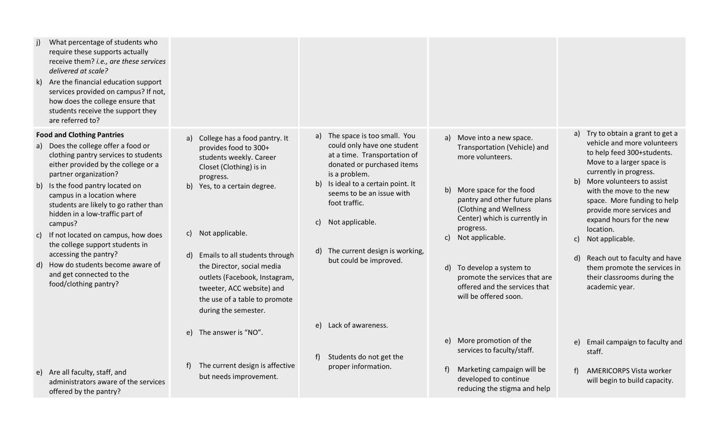| What percentage of students who<br>i)<br>require these supports actually<br>receive them? i.e., are these services<br>delivered at scale?<br>Are the financial education support<br>k)<br>services provided on campus? If not,<br>how does the college ensure that<br>students receive the support they<br>are referred to?                                                                                                                                                                                                                  |                                                                                                                                                                                                                                                                                                                                                                                 |                                                                                                                                                                                                                                                                                                                                |                                                                                                                                                                                                                                                                                                                                                                                          |                                                                                                                                                                                                                                                                                                                                                                                                                                                                                      |
|----------------------------------------------------------------------------------------------------------------------------------------------------------------------------------------------------------------------------------------------------------------------------------------------------------------------------------------------------------------------------------------------------------------------------------------------------------------------------------------------------------------------------------------------|---------------------------------------------------------------------------------------------------------------------------------------------------------------------------------------------------------------------------------------------------------------------------------------------------------------------------------------------------------------------------------|--------------------------------------------------------------------------------------------------------------------------------------------------------------------------------------------------------------------------------------------------------------------------------------------------------------------------------|------------------------------------------------------------------------------------------------------------------------------------------------------------------------------------------------------------------------------------------------------------------------------------------------------------------------------------------------------------------------------------------|--------------------------------------------------------------------------------------------------------------------------------------------------------------------------------------------------------------------------------------------------------------------------------------------------------------------------------------------------------------------------------------------------------------------------------------------------------------------------------------|
| <b>Food and Clothing Pantries</b><br>a) Does the college offer a food or<br>clothing pantry services to students<br>either provided by the college or a<br>partner organization?<br>b) Is the food pantry located on<br>campus in a location where<br>students are likely to go rather than<br>hidden in a low-traffic part of<br>campus?<br>If not located on campus, how does<br>C)<br>the college support students in<br>accessing the pantry?<br>d) How do students become aware of<br>and get connected to the<br>food/clothing pantry? | a) College has a food pantry. It<br>provides food to 300+<br>students weekly. Career<br>Closet (Clothing) is in<br>progress.<br>b) Yes, to a certain degree.<br>c) Not applicable.<br>Emails to all students through<br>d)<br>the Director, social media<br>outlets (Facebook, Instagram,<br>tweeter, ACC website) and<br>the use of a table to promote<br>during the semester. | a) The space is too small. You<br>could only have one student<br>at a time. Transportation of<br>donated or purchased items<br>is a problem.<br>Is ideal to a certain point. It<br>b)<br>seems to be an issue with<br>foot traffic.<br>Not applicable.<br>C)<br>The current design is working,<br>d)<br>but could be improved. | Move into a new space.<br>a)<br>Transportation (Vehicle) and<br>more volunteers.<br>More space for the food<br>b)<br>pantry and other future plans<br>(Clothing and Wellness<br>Center) which is currently in<br>progress.<br>Not applicable.<br>C)<br>To develop a system to<br>$\mathsf{d}$<br>promote the services that are<br>offered and the services that<br>will be offered soon. | Try to obtain a grant to get a<br>a)<br>vehicle and more volunteers<br>to help feed 300+students.<br>Move to a larger space is<br>currently in progress.<br>b) More volunteers to assist<br>with the move to the new<br>space. More funding to help<br>provide more services and<br>expand hours for the new<br>location.<br>Not applicable.<br>C)<br>$\mathsf{d}$<br>Reach out to faculty and have<br>them promote the services in<br>their classrooms during the<br>academic year. |
| e) Are all faculty, staff, and<br>administrators aware of the services<br>offered by the pantry?                                                                                                                                                                                                                                                                                                                                                                                                                                             | The answer is "NO".<br>e)<br>The current design is affective<br>but needs improvement.                                                                                                                                                                                                                                                                                          | e) Lack of awareness.<br>f<br>Students do not get the<br>proper information.                                                                                                                                                                                                                                                   | e) More promotion of the<br>services to faculty/staff.<br>Marketing campaign will be<br>f<br>developed to continue<br>reducing the stigma and help                                                                                                                                                                                                                                       | Email campaign to faculty and<br>e)<br>staff.<br><b>AMERICORPS Vista worker</b><br>f<br>will begin to build capacity.                                                                                                                                                                                                                                                                                                                                                                |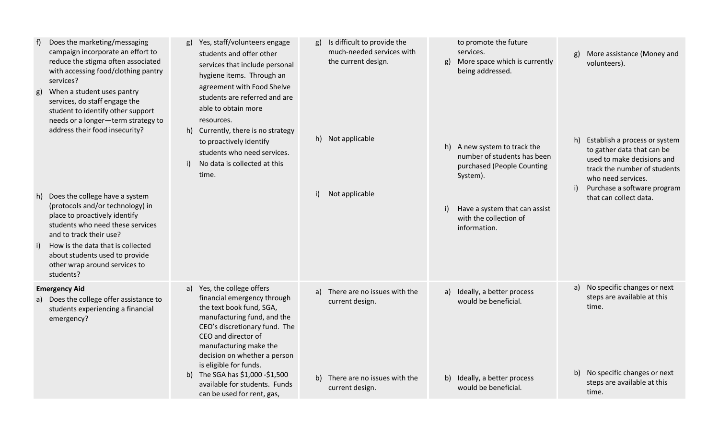| g)<br>h)<br>i) | Does the marketing/messaging<br>campaign incorporate an effort to<br>reduce the stigma often associated<br>with accessing food/clothing pantry<br>services?<br>When a student uses pantry<br>services, do staff engage the<br>student to identify other support<br>needs or a longer-term strategy to<br>address their food insecurity?<br>Does the college have a system<br>(protocols and/or technology) in<br>place to proactively identify<br>students who need these services<br>and to track their use?<br>How is the data that is collected<br>about students used to provide<br>other wrap around services to<br>students? | g) Yes, staff/volunteers engage<br>students and offer other<br>services that include personal<br>hygiene items. Through an<br>agreement with Food Shelve<br>students are referred and are<br>able to obtain more<br>resources.<br>h) Currently, there is no strategy<br>to proactively identify<br>students who need services.<br>No data is collected at this<br>i)<br>time. | Is difficult to provide the<br>much-needed services with<br>the current design.<br>h) Not applicable<br>i)<br>Not applicable | to promote the future<br>services.<br>More space which is currently<br>g)<br>being addressed.<br>h) A new system to track the<br>number of students has been<br>purchased (People Counting<br>System).<br>Have a system that can assist<br>i)<br>with the collection of<br>information. | More assistance (Money and<br>g)<br>volunteers).<br>Establish a process or system<br>h)<br>to gather data that can be<br>used to make decisions and<br>track the number of students<br>who need services.<br>Purchase a software program<br>i)<br>that can collect data. |
|----------------|------------------------------------------------------------------------------------------------------------------------------------------------------------------------------------------------------------------------------------------------------------------------------------------------------------------------------------------------------------------------------------------------------------------------------------------------------------------------------------------------------------------------------------------------------------------------------------------------------------------------------------|-------------------------------------------------------------------------------------------------------------------------------------------------------------------------------------------------------------------------------------------------------------------------------------------------------------------------------------------------------------------------------|------------------------------------------------------------------------------------------------------------------------------|-----------------------------------------------------------------------------------------------------------------------------------------------------------------------------------------------------------------------------------------------------------------------------------------|--------------------------------------------------------------------------------------------------------------------------------------------------------------------------------------------------------------------------------------------------------------------------|
|                | <b>Emergency Aid</b><br>a) Does the college offer assistance to<br>students experiencing a financial<br>emergency?                                                                                                                                                                                                                                                                                                                                                                                                                                                                                                                 | a) Yes, the college offers<br>financial emergency through<br>the text book fund, SGA,<br>manufacturing fund, and the<br>CEO's discretionary fund. The<br>CEO and director of<br>manufacturing make the<br>decision on whether a person<br>is eligible for funds.<br>b) The SGA has \$1,000 -\$1,500<br>available for students. Funds<br>can be used for rent, gas,            | There are no issues with the<br>a)<br>current design.<br>b) There are no issues with the<br>current design.                  | Ideally, a better process<br>a)<br>would be beneficial.<br>b) Ideally, a better process<br>would be beneficial.                                                                                                                                                                         | a) No specific changes or next<br>steps are available at this<br>time.<br>b) No specific changes or next<br>steps are available at this<br>time.                                                                                                                         |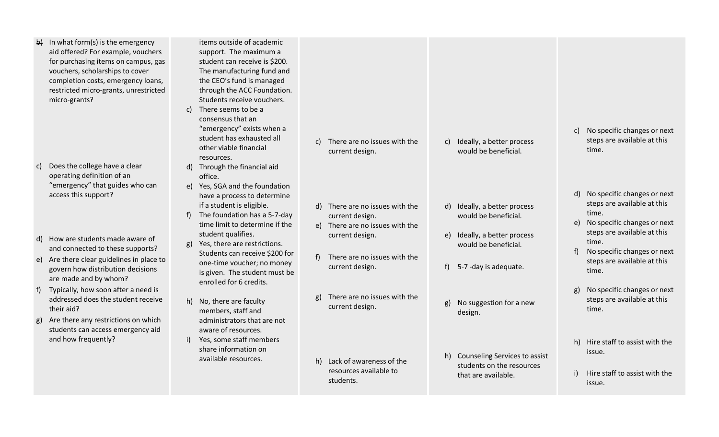| In what form(s) is the emergency<br>$\vert b \rangle$<br>aid offered? For example, vouchers<br>for purchasing items on campus, gas<br>vouchers, scholarships to cover<br>completion costs, emergency loans,<br>restricted micro-grants, unrestricted<br>micro-grants? | items outside of academic<br>support. The maximum a<br>student can receive is \$200.<br>The manufacturing fund and<br>the CEO's fund is managed<br>through the ACC Foundation.<br>Students receive vouchers.<br>c) There seems to be a<br>consensus that an<br>"emergency" exists when a<br>student has exhausted all<br>other viable financial | There are no issues with the<br>C)<br>current design.                 | Ideally, a better process<br>c)<br>would be beneficial.                         | No specific changes or next<br>c)<br>steps are available at this<br>time.       |
|-----------------------------------------------------------------------------------------------------------------------------------------------------------------------------------------------------------------------------------------------------------------------|-------------------------------------------------------------------------------------------------------------------------------------------------------------------------------------------------------------------------------------------------------------------------------------------------------------------------------------------------|-----------------------------------------------------------------------|---------------------------------------------------------------------------------|---------------------------------------------------------------------------------|
| Does the college have a clear<br>C)<br>operating definition of an<br>"emergency" that guides who can<br>access this support?                                                                                                                                          | resources.<br>d) Through the financial aid<br>office.<br>e) Yes, SGA and the foundation<br>have a process to determine<br>if a student is eligible.                                                                                                                                                                                             | d) There are no issues with the                                       | d) Ideally, a better process                                                    | d) No specific changes or next<br>steps are available at this                   |
| d) How are students made aware of<br>and connected to these supports?                                                                                                                                                                                                 | The foundation has a 5-7-day<br>f)<br>time limit to determine if the<br>student qualifies.<br>Yes, there are restrictions.<br>g)                                                                                                                                                                                                                | current design.<br>e) There are no issues with the<br>current design. | would be beneficial.<br>Ideally, a better process<br>e)<br>would be beneficial. | time.<br>e) No specific changes or next<br>steps are available at this<br>time. |
| e) Are there clear guidelines in place to<br>govern how distribution decisions<br>are made and by whom?                                                                                                                                                               | Students can receive \$200 for<br>one-time voucher; no money<br>is given. The student must be<br>enrolled for 6 credits.                                                                                                                                                                                                                        | There are no issues with the<br>current design.                       | f<br>5-7 -day is adequate.                                                      | No specific changes or next<br>$f$ )<br>steps are available at this<br>time.    |
| f) Typically, how soon after a need is<br>addressed does the student receive<br>their aid?<br>Are there any restrictions on which<br>g)                                                                                                                               | h) No, there are faculty<br>members, staff and<br>administrators that are not                                                                                                                                                                                                                                                                   | There are no issues with the<br>g)<br>current design.                 | No suggestion for a new<br>g)<br>design.                                        | No specific changes or next<br>g)<br>steps are available at this<br>time.       |
| students can access emergency aid<br>and how frequently?                                                                                                                                                                                                              | aware of resources.<br>Yes, some staff members<br>$\mathsf{i}$<br>share information on<br>available resources.                                                                                                                                                                                                                                  | h) Lack of awareness of the<br>resources available to                 | h) Counseling Services to assist<br>students on the resources                   | h) Hire staff to assist with the<br>issue.                                      |
|                                                                                                                                                                                                                                                                       |                                                                                                                                                                                                                                                                                                                                                 | students.                                                             | that are available.                                                             | Hire staff to assist with the<br>i)<br>issue.                                   |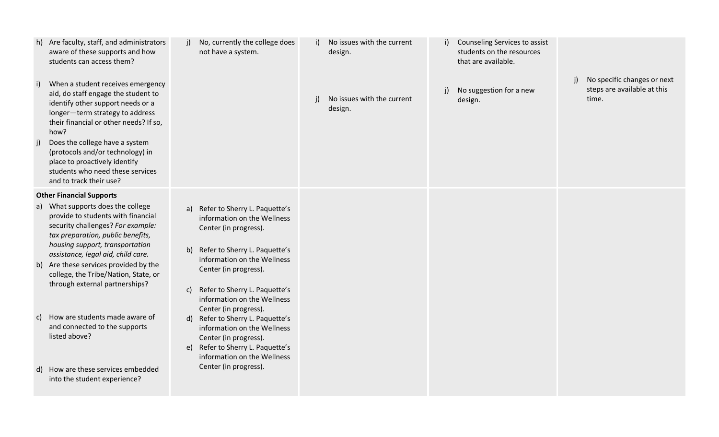| h) | Are faculty, staff, and administrators<br>aware of these supports and how<br>students can access them?                                                                                             | No, currently the college does<br>i)<br>not have a system.                                                                   | i) | No issues with the current<br>design. | i) | Counseling Services to assist<br>students on the resources<br>that are available. |    |                                                                     |
|----|----------------------------------------------------------------------------------------------------------------------------------------------------------------------------------------------------|------------------------------------------------------------------------------------------------------------------------------|----|---------------------------------------|----|-----------------------------------------------------------------------------------|----|---------------------------------------------------------------------|
| i) | When a student receives emergency<br>aid, do staff engage the student to<br>identify other support needs or a<br>longer-term strategy to address<br>their financial or other needs? If so,<br>how? |                                                                                                                              |    | No issues with the current<br>design. |    | No suggestion for a new<br>design.                                                | j) | No specific changes or next<br>steps are available at this<br>time. |
| j) | Does the college have a system<br>(protocols and/or technology) in<br>place to proactively identify<br>students who need these services<br>and to track their use?                                 |                                                                                                                              |    |                                       |    |                                                                                   |    |                                                                     |
|    | <b>Other Financial Supports</b>                                                                                                                                                                    |                                                                                                                              |    |                                       |    |                                                                                   |    |                                                                     |
|    | a) What supports does the college<br>provide to students with financial<br>security challenges? For example:<br>tax preparation, public benefits,<br>housing support, transportation               | a) Refer to Sherry L. Paquette's<br>information on the Wellness<br>Center (in progress).                                     |    |                                       |    |                                                                                   |    |                                                                     |
|    | assistance, legal aid, child care.<br>b) Are these services provided by the<br>college, the Tribe/Nation, State, or                                                                                | b) Refer to Sherry L. Paquette's<br>information on the Wellness<br>Center (in progress).                                     |    |                                       |    |                                                                                   |    |                                                                     |
|    | through external partnerships?                                                                                                                                                                     | Refer to Sherry L. Paquette's<br>C)<br>information on the Wellness<br>Center (in progress).                                  |    |                                       |    |                                                                                   |    |                                                                     |
| C) | How are students made aware of<br>and connected to the supports<br>listed above?                                                                                                                   | d) Refer to Sherry L. Paquette's<br>information on the Wellness<br>Center (in progress).<br>e) Refer to Sherry L. Paquette's |    |                                       |    |                                                                                   |    |                                                                     |
|    |                                                                                                                                                                                                    | information on the Wellness                                                                                                  |    |                                       |    |                                                                                   |    |                                                                     |
|    | d) How are these services embedded<br>into the student experience?                                                                                                                                 | Center (in progress).                                                                                                        |    |                                       |    |                                                                                   |    |                                                                     |
|    |                                                                                                                                                                                                    |                                                                                                                              |    |                                       |    |                                                                                   |    |                                                                     |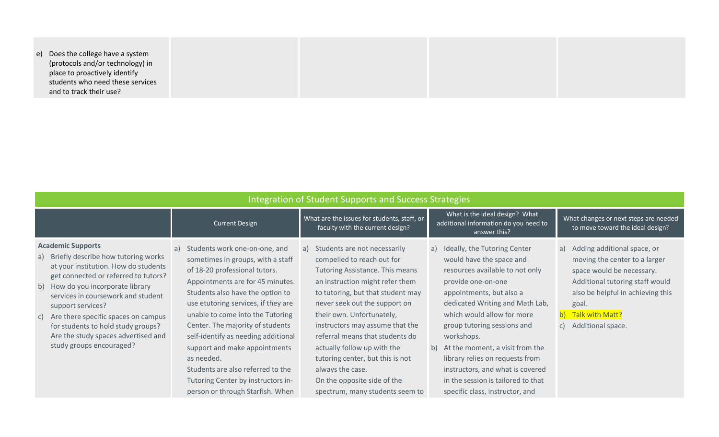e) Does the college have a system (protocols and/or technology) in place to proactively identify students who need these services and to track their use?

| <b>Integration of Student Supports and Success Strategies</b>                                                                                                                                                                                                                                                                                                                                         |                                                                                                                                                                                                                                                                                                                                                                                                                                                                                                       |                                                                                                                                                                                                                                                                                                                                                                                                                                                                          |                                                                                                                                                                                                                                                                                                                                                                                                                                                      |                                                                                                                                                                                                                                  |  |  |  |  |
|-------------------------------------------------------------------------------------------------------------------------------------------------------------------------------------------------------------------------------------------------------------------------------------------------------------------------------------------------------------------------------------------------------|-------------------------------------------------------------------------------------------------------------------------------------------------------------------------------------------------------------------------------------------------------------------------------------------------------------------------------------------------------------------------------------------------------------------------------------------------------------------------------------------------------|--------------------------------------------------------------------------------------------------------------------------------------------------------------------------------------------------------------------------------------------------------------------------------------------------------------------------------------------------------------------------------------------------------------------------------------------------------------------------|------------------------------------------------------------------------------------------------------------------------------------------------------------------------------------------------------------------------------------------------------------------------------------------------------------------------------------------------------------------------------------------------------------------------------------------------------|----------------------------------------------------------------------------------------------------------------------------------------------------------------------------------------------------------------------------------|--|--|--|--|
|                                                                                                                                                                                                                                                                                                                                                                                                       | <b>Current Design</b>                                                                                                                                                                                                                                                                                                                                                                                                                                                                                 | What are the issues for students, staff, or<br>faculty with the current design?                                                                                                                                                                                                                                                                                                                                                                                          | What is the ideal design? What<br>additional information do you need to<br>answer this?                                                                                                                                                                                                                                                                                                                                                              | What changes or next steps are needed<br>to move toward the ideal design?                                                                                                                                                        |  |  |  |  |
| <b>Academic Supports</b><br>a) Briefly describe how tutoring works<br>at your institution. How do students<br>get connected or referred to tutors?<br>b) How do you incorporate library<br>services in coursework and student<br>support services?<br>c) Are there specific spaces on campus<br>for students to hold study groups?<br>Are the study spaces advertised and<br>study groups encouraged? | Students work one-on-one, and<br>a)<br>sometimes in groups, with a staff<br>of 18-20 professional tutors.<br>Appointments are for 45 minutes.<br>Students also have the option to<br>use etutoring services, if they are<br>unable to come into the Tutoring<br>Center. The majority of students<br>self-identify as needing additional<br>support and make appointments<br>as needed.<br>Students are also referred to the<br>Tutoring Center by instructors in-<br>person or through Starfish. When | Students are not necessarily<br>a)<br>compelled to reach out for<br>Tutoring Assistance. This means<br>an instruction might refer them<br>to tutoring, but that student may<br>never seek out the support on<br>their own. Unfortunately,<br>instructors may assume that the<br>referral means that students do<br>actually follow up with the<br>tutoring center, but this is not<br>always the case.<br>On the opposite side of the<br>spectrum, many students seem to | a) Ideally, the Tutoring Center<br>would have the space and<br>resources available to not only<br>provide one-on-one<br>appointments, but also a<br>dedicated Writing and Math Lab,<br>which would allow for more<br>group tutoring sessions and<br>workshops.<br>b) At the moment, a visit from the<br>library relies on requests from<br>instructors, and what is covered<br>in the session is tailored to that<br>specific class, instructor, and | a) Adding additional space, or<br>moving the center to a larger<br>space would be necessary.<br>Additional tutoring staff would<br>also be helpful in achieving this<br>goal.<br>Talk with Matt?<br>b<br>Additional space.<br>C) |  |  |  |  |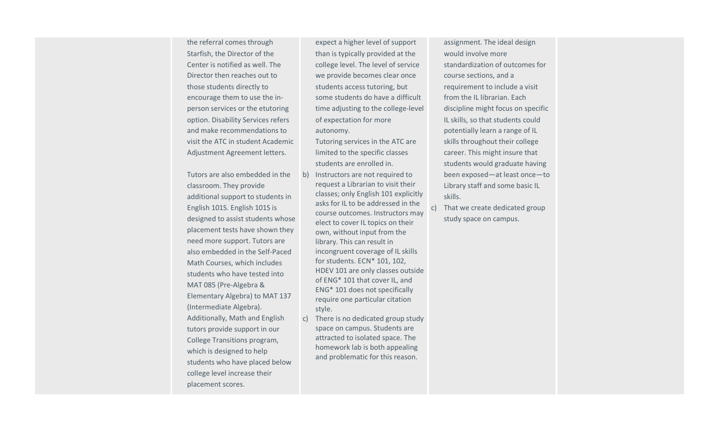the referral comes through Starfish, the Director of the Center is notified as well. The Director then reaches out to those students directly to encourage them to use the inperson services or the etutoring option. Disability Services refers and make recommendations to visit the ATC in student Academic Adjustment Agreement letters.

Tutors are also embedded in the classroom. They provide additional support to students in English 101S. English 101S is designed to assist students whose placement tests have shown they need more support. Tutors are also embedded in the Self-Paced Math Courses, which includes students who have tested into MAT 085 (Pre-Algebra & Elementary Algebra) to MAT 137 (Intermediate Algebra). Additionally, Math and English tutors provide support in our College Transitions program, which is designed to help students who have placed below college level increase their placement scores.

expect a higher level of support than is typically provided at the college level. The level of service we provide becomes clear once students access tutoring, but some students do have a difficult time adjusting to the college-level of expectation for more autonomy.

Tutoring services in the ATC are limited to the specific classes students are enrolled in.

- b) Instructors are not required to request a Librarian to visit their classes; only English 101 explicitly asks for IL to be addressed in the course outcomes. Instructors may elect to cover IL topics on their own, without input from the library. This can result in incongruent coverage of IL skills for students. ECN\* 101, 102, HDEV 101 are only classes outside of ENG\* 101 that cover IL, and ENG\* 101 does not specifically require one particular citation style.
- c) There is no dedicated group study space on campus. Students are attracted to isolated space. The homework lab is both appealing and problematic for this reason.

assignment. The ideal design would involve more standardization of outcomes for course sections, and a requirement to include a visit from the IL librarian. Each discipline might focus on specific IL skills, so that students could potentially learn a range of IL skills throughout their college career. This might insure that students would graduate having been exposed—at least once—to Library staff and some basic IL skills.

c) That we create dedicated group study space on campus.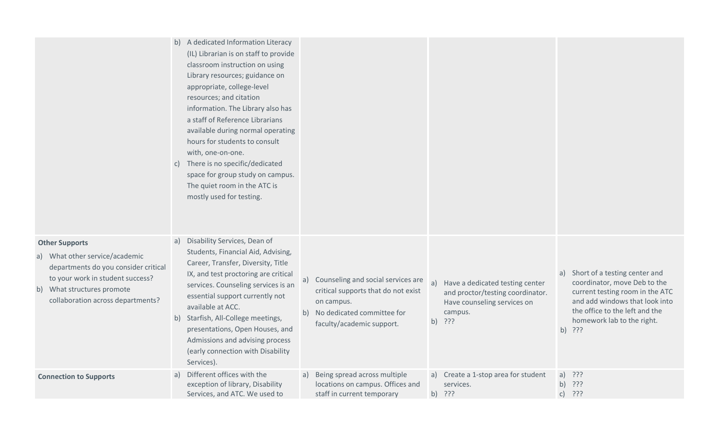|                                                                                                                                                                                                        | b) A dedicated Information Literacy<br>(IL) Librarian is on staff to provide<br>classroom instruction on using<br>Library resources; guidance on<br>appropriate, college-level<br>resources; and citation<br>information. The Library also has<br>a staff of Reference Librarians<br>available during normal operating<br>hours for students to consult<br>with, one-on-one.<br>c) There is no specific/dedicated<br>space for group study on campus.<br>The quiet room in the ATC is<br>mostly used for testing. |                                                                                                                                                                |                                                                                                                               |                                                                                                                                                                                                                    |
|--------------------------------------------------------------------------------------------------------------------------------------------------------------------------------------------------------|-------------------------------------------------------------------------------------------------------------------------------------------------------------------------------------------------------------------------------------------------------------------------------------------------------------------------------------------------------------------------------------------------------------------------------------------------------------------------------------------------------------------|----------------------------------------------------------------------------------------------------------------------------------------------------------------|-------------------------------------------------------------------------------------------------------------------------------|--------------------------------------------------------------------------------------------------------------------------------------------------------------------------------------------------------------------|
| <b>Other Supports</b><br>a) What other service/academic<br>departments do you consider critical<br>to your work in student success?<br>b) What structures promote<br>collaboration across departments? | Disability Services, Dean of<br>a)<br>Students, Financial Aid, Advising,<br>Career, Transfer, Diversity, Title<br>IX, and test proctoring are critical<br>services. Counseling services is an<br>essential support currently not<br>available at ACC.<br>b) Starfish, All-College meetings,<br>presentations, Open Houses, and<br>Admissions and advising process<br>(early connection with Disability<br>Services).                                                                                              | Counseling and social services are<br>a)<br>critical supports that do not exist<br>on campus.<br>No dedicated committee for<br>b)<br>faculty/academic support. | Have a dedicated testing center<br>a)<br>and proctor/testing coordinator.<br>Have counseling services on<br>campus.<br>b) ??? | Short of a testing center and<br>a)<br>coordinator, move Deb to the<br>current testing room in the ATC<br>and add windows that look into<br>the office to the left and the<br>homework lab to the right.<br>b) ??? |
| <b>Connection to Supports</b>                                                                                                                                                                          | a) Different offices with the<br>exception of library, Disability<br>Services, and ATC. We used to                                                                                                                                                                                                                                                                                                                                                                                                                | Being spread across multiple<br>a)<br>locations on campus. Offices and<br>staff in current temporary                                                           | a) Create a 1-stop area for student<br>services.<br>b) ???                                                                    | a) $?$ ??<br>b) ???<br>???<br>$\mathsf{C}$                                                                                                                                                                         |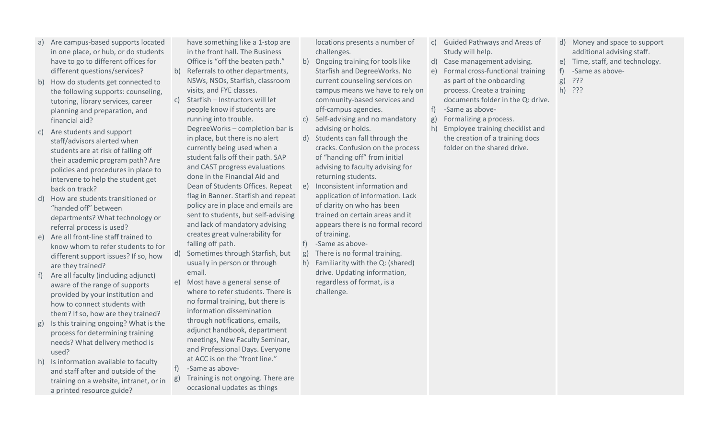- a) Are campus-based supports located in one place, or hub, or do students have to go to different offices for different questions/services?
- b) How do students get connected to the following supports: counseling, tutoring, library services, career planning and preparation, and financial aid?
- c) Are students and support staff/advisors alerted when students are at risk of falling off their academic program path? Are policies and procedures in place to intervene to help the student get back on track?
- d) How are students transitioned or "handed off" between departments? What technology or referral process is used?
- e) Are all front-line staff trained to know whom to refer students to for different support issues? If so, how are they trained?
- Are all faculty (including adjunct) aware of the range of supports provided by your institution and how to connect students with them? If so, how are they trained?
- g) Is this training ongoing? What is the process for determining training needs? What delivery method is used?
- h) Is information available to faculty and staff after and outside of the training on a website, intranet, or in a printed resource guide?

have something like a 1-stop are in the front hall. The Business Office is "off the beaten path."

- b) Referrals to other departments, NSWs, NSOs, Starfish, classroom visits, and FYE classes.
- c) Starfish Instructors will let people know if students are running into trouble. DegreeWorks – completion bar is in place, but there is no alert currently being used when a student falls off their path. SAP and CAST progress evaluations done in the Financial Aid and Dean of Students Offices. Repeat flag in Banner. Starfish and repeat policy are in place and emails are sent to students, but self-advising and lack of mandatory advising creates great vulnerability for falling off path.
- d) Sometimes through Starfish, but usually in person or through email.
- e) Most have a general sense of where to refer students. There is no formal training, but there is information dissemination through notifications, emails, adjunct handbook, department meetings, New Faculty Seminar, and Professional Days. Everyone at ACC is on the "front line."
- f) -Same as above-
- g) Training is not ongoing. There are occasional updates as things

locations presents a number of challenges.

- b) Ongoing training for tools like Starfish and DegreeWorks. No current counseling services on campus means we have to rely on community-based services and off-campus agencies.
- c) Self-advising and no mandatory advising or holds.
- d) Students can fall through the cracks. Confusion on the process of "handing off" from initial advising to faculty advising for returning students.
- e) Inconsistent information and application of information. Lack of clarity on who has been trained on certain areas and it appears there is no formal record of training.
- f) -Same as above-
- g) There is no formal training.
- h) Familiarity with the Q: (shared) drive. Updating information, regardless of format, is a challenge.
- c) Guided Pathways and Areas of Study will help.
- d) Case management advising.
- e) Formal cross-functional training as part of the onboarding process. Create a training documents folder in the Q: drive.
- f) -Same as above-
- g) Formalizing a process.
- h) Employee training checklist and the creation of a training docs folder on the shared drive.
- d) Money and space to support additional advising staff.
- e) Time, staff, and technology.
- f) -Same as above-
- g) ???
- h) ???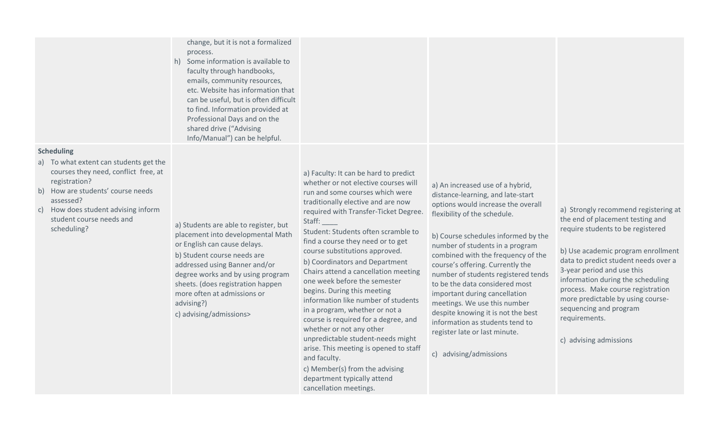change, but it is not a formalized process.

h) Some information is available to faculty through handbooks, emails, community resources, etc. Website has information that can be useful, but is often difficult to find. Information provided at Professional Days and on the shared drive ("Advising Info/Manual") can be helpful.

### **Scheduling**

- a) To what extent can students get the courses they need, conflict free, at registration?
- b) How are students' course needs assessed?
- c) How does student advising inform student course needs and

scheduling? a) Students are able to register, but placement into developmental Math or English can cause delays. b) Student course needs are

addressed using Banner and/or degree works and by using program sheets. (does registration happen more often at admissions or advising?)

c) advising/admissions>

a) Faculty: It can be hard to predict whether or not elective courses will run and some courses which were traditionally elective and are now required with Transfer-Ticket Degree. Staff: \_\_\_\_

Student: Students often scramble to find a course they need or to get course substitutions approved. b) Coordinators and Department Chairs attend a cancellation meeting one week before the semester begins. During this meeting information like number of students in a program, whether or not a course is required for a degree, and whether or not any other unpredictable student-needs might arise. This meeting is opened to staff and faculty.

c) Member(s) from the advising department typically attend cancellation meetings.

a) An increased use of a hybrid, distance-learning, and late-start options would increase the overall flexibility of the schedule.

b) Course schedules informed by the number of students in a program combined with the frequency of the course's offering. Currently the number of students registered tends to be the data considered most important during cancellation meetings. We use this number despite knowing it is not the best information as students tend to register late or last minute.

c) advising/admissions

a) Strongly recommend registering at the end of placement testing and require students to be registered

b) Use academic program enrollment data to predict student needs over a 3-year period and use this information during the scheduling process. Make course registration more predictable by using coursesequencing and program requirements.

c) advising admissions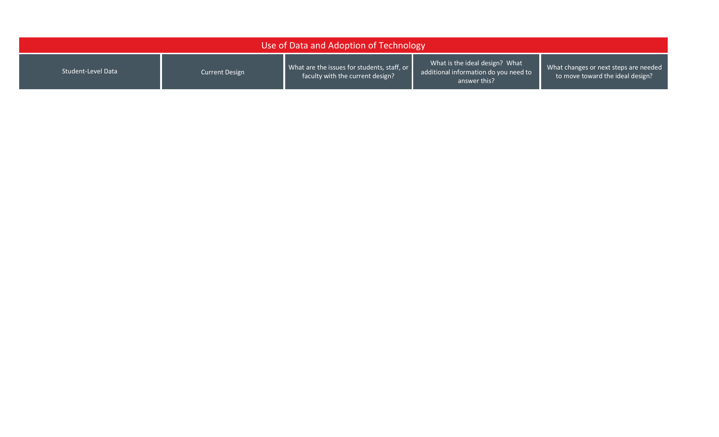| Use of Data and Adoption of Technology |                |                                                                                 |                                                                                         |                                                                           |  |  |  |
|----------------------------------------|----------------|---------------------------------------------------------------------------------|-----------------------------------------------------------------------------------------|---------------------------------------------------------------------------|--|--|--|
| Student-Level Data                     | Current Design | What are the issues for students, staff, or<br>faculty with the current design? | What is the ideal design? What<br>additional information do you need to<br>answer this? | What changes or next steps are needed<br>to move toward the ideal design? |  |  |  |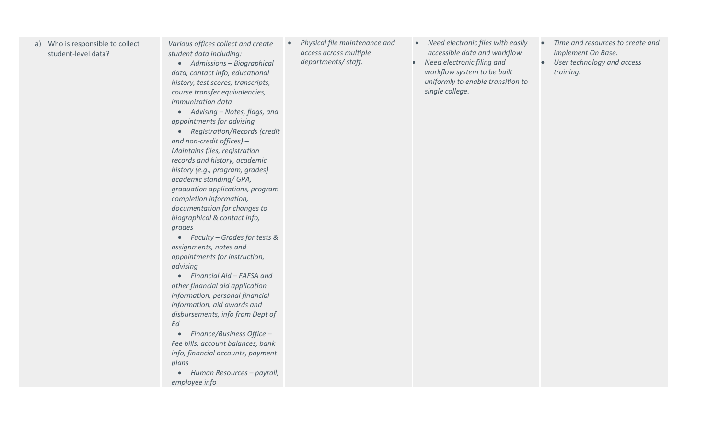| a) | Who is responsible to collect |
|----|-------------------------------|
|    | student-level data?           |

*Various offices collect and create student data including:*

• *Admissions – Biographical data, contact info, educational history, test scores, transcripts, course transfer equivalencies, immunization data*

• *Advising – Notes, flags, and appointments for advising*

• *Registration/Records (credit and non-credit offices) – Maintains files, registration records and history, academic history (e.g., program, grades) academic standing/ GPA, graduation applications, program completion information, documentation for changes to biographical & contact info, grades*

• *Faculty – Grades for tests & assignments, notes and appointments for instruction, advising*

• *Financial Aid – FAFSA and other financial aid application information, personal financial information, aid awards and disbursements, info from Dept of Ed*

• *Finance/Business Office – Fee bills, account balances, bank info, financial accounts, payment plans*

• *Human Resources – payroll, employee info*

• *Physical file maintenance and access across multiple departments/ staff.*

- *Need electronic files with easily accessible data and workflow*
- *Need electronic filing and workflow system to be built uniformly to enable transition to single college.*
- *Time and resources to create and implement On Base.*
- *User technology and access training.*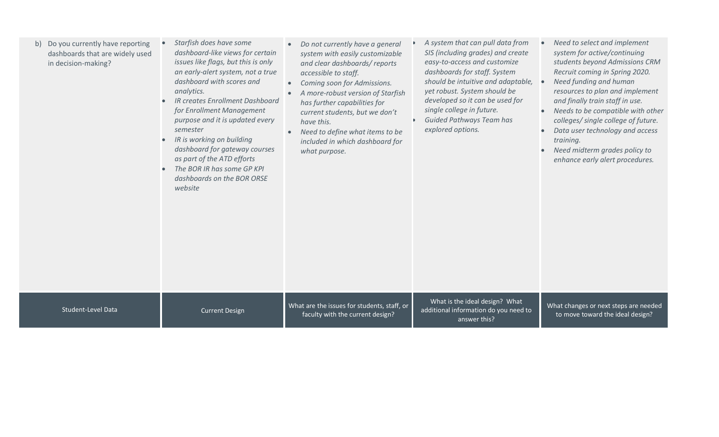| Do you currently have reporting<br>b)<br>dashboards that are widely used<br>in decision-making? | Starfish does have some<br>dashboard-like views for certain<br>issues like flags, but this is only<br>an early-alert system, not a true<br>dashboard with scores and<br>analytics.<br>IR creates Enrollment Dashboard<br>for Enrollment Management<br>purpose and it is updated every<br>semester<br>IR is working on building<br>dashboard for gateway courses<br>as part of the ATD efforts<br>The BOR IR has some GP KPI<br>dashboards on the BOR ORSE<br>website | Do not currently have a general<br>system with easily customizable<br>and clear dashboards/reports<br>accessible to staff.<br>Coming soon for Admissions.<br>$\bullet$<br>A more-robust version of Starfish<br>has further capabilities for<br>current students, but we don't<br>have this.<br>Need to define what items to be<br>included in which dashboard for<br>what purpose. | A system that can pull data from<br>SIS (including grades) and create<br>easy-to-access and customize<br>dashboards for staff. System<br>should be intuitive and adaptable,<br>yet robust. System should be<br>developed so it can be used for<br>single college in future.<br><b>Guided Pathways Team has</b><br>explored options. | Need to select and implement<br>system for active/continuing<br>students beyond Admissions CRM<br>Recruit coming in Spring 2020.<br>Need funding and human<br>$\bullet$<br>resources to plan and implement<br>and finally train staff in use.<br>Needs to be compatible with other<br>colleges/ single college of future.<br>Data user technology and access<br>training.<br>Need midterm grades policy to<br>enhance early alert procedures. |
|-------------------------------------------------------------------------------------------------|----------------------------------------------------------------------------------------------------------------------------------------------------------------------------------------------------------------------------------------------------------------------------------------------------------------------------------------------------------------------------------------------------------------------------------------------------------------------|------------------------------------------------------------------------------------------------------------------------------------------------------------------------------------------------------------------------------------------------------------------------------------------------------------------------------------------------------------------------------------|-------------------------------------------------------------------------------------------------------------------------------------------------------------------------------------------------------------------------------------------------------------------------------------------------------------------------------------|-----------------------------------------------------------------------------------------------------------------------------------------------------------------------------------------------------------------------------------------------------------------------------------------------------------------------------------------------------------------------------------------------------------------------------------------------|
| <b>Student-Level Data</b>                                                                       | <b>Current Design</b>                                                                                                                                                                                                                                                                                                                                                                                                                                                | What are the issues for students, staff, or<br>faculty with the current design?                                                                                                                                                                                                                                                                                                    | What is the ideal design? What<br>additional information do you need to<br>answer this?                                                                                                                                                                                                                                             | What changes or next steps are needed<br>to move toward the ideal design?                                                                                                                                                                                                                                                                                                                                                                     |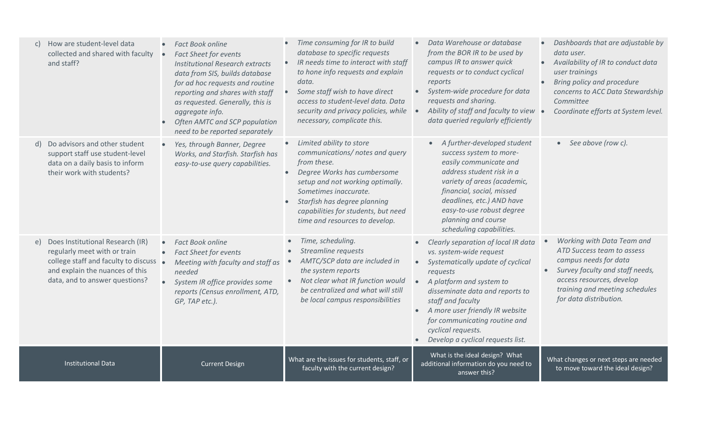| How are student-level data<br>C)<br>collected and shared with faculty<br>and staff?                                                                                                   | <b>Fact Book online</b><br><b>Fact Sheet for events</b><br>$\bullet$<br><b>Institutional Research extracts</b><br>data from SIS, builds database<br>for ad hoc requests and routine<br>reporting and shares with staff<br>as requested. Generally, this is<br>aggregate info.<br>Often AMTC and SCP population<br>need to be reported separately | Time consuming for IR to build<br>database to specific requests<br>IR needs time to interact with staff<br>$\bullet$<br>to hone info requests and explain<br>data.<br>Some staff wish to have direct<br>$\bullet$<br>access to student-level data. Data<br>security and privacy policies, while<br>necessary, complicate this. | Data Warehouse or database<br>from the BOR IR to be used by<br>campus IR to answer quick<br>requests or to conduct cyclical<br>reports<br>System-wide procedure for data<br>requests and sharing.<br>Ability of staff and faculty to view<br>data queried regularly efficiently                                                                                           | Dashboards that are adjustable by<br>data user.<br>Availability of IR to conduct data<br>$\bullet$<br>user trainings<br>Bring policy and procedure<br>$\bullet$<br>concerns to ACC Data Stewardship<br>Committee<br>Coordinate efforts at System level. |
|---------------------------------------------------------------------------------------------------------------------------------------------------------------------------------------|--------------------------------------------------------------------------------------------------------------------------------------------------------------------------------------------------------------------------------------------------------------------------------------------------------------------------------------------------|--------------------------------------------------------------------------------------------------------------------------------------------------------------------------------------------------------------------------------------------------------------------------------------------------------------------------------|---------------------------------------------------------------------------------------------------------------------------------------------------------------------------------------------------------------------------------------------------------------------------------------------------------------------------------------------------------------------------|---------------------------------------------------------------------------------------------------------------------------------------------------------------------------------------------------------------------------------------------------------|
| Do advisors and other student<br>d)<br>support staff use student-level<br>data on a daily basis to inform<br>their work with students?                                                | Yes, through Banner, Degree<br>$\bullet$<br>Works, and Starfish. Starfish has<br>easy-to-use query capabilities.                                                                                                                                                                                                                                 | Limited ability to store<br>$\bullet$<br>communications/ notes and query<br>from these.<br>Degree Works has cumbersome<br>$\bullet$<br>setup and not working optimally.<br>Sometimes inaccurate.<br>Starfish has degree planning<br>$\bullet$<br>capabilities for students, but need<br>time and resources to develop.         | A further-developed student<br>success system to more-<br>easily communicate and<br>address student risk in a<br>variety of areas (academic,<br>financial, social, missed<br>deadlines, etc.) AND have<br>easy-to-use robust degree<br>planning and course<br>scheduling capabilities.                                                                                    | $\bullet$ See above (row c).                                                                                                                                                                                                                            |
| Does Institutional Research (IR)<br>e)<br>regularly meet with or train<br>college staff and faculty to discuss .<br>and explain the nuances of this<br>data, and to answer questions? | <b>Fact Book online</b><br>$\bullet$<br><b>Fact Sheet for events</b><br>$\bullet$<br>Meeting with faculty and staff as<br>needed<br>System IR office provides some<br>$\bullet$<br>reports (Census enrollment, ATD,<br>GP, TAP etc.).                                                                                                            | Time, scheduling.<br>Streamline requests<br>AMTC/SCP data are included in<br>the system reports<br>Not clear what IR function would<br>be centralized and what will still<br>be local campus responsibilities                                                                                                                  | Clearly separation of local IR data<br>$\bullet$<br>vs. system-wide request<br>Systematically update of cyclical<br>requests<br>A platform and system to<br>disseminate data and reports to<br>staff and faculty<br>A more user friendly IR website<br>$\bullet$<br>for communicating routine and<br>cyclical requests.<br>Develop a cyclical requests list.<br>$\bullet$ | Working with Data Team and<br>ATD Success team to assess<br>campus needs for data<br>Survey faculty and staff needs,<br>$\bullet$<br>access resources, develop<br>training and meeting schedules<br>for data distribution.                              |
| <b>Institutional Data</b>                                                                                                                                                             | <b>Current Design</b>                                                                                                                                                                                                                                                                                                                            | What are the issues for students, staff, or<br>faculty with the current design?                                                                                                                                                                                                                                                | What is the ideal design? What<br>additional information do you need to<br>answer this?                                                                                                                                                                                                                                                                                   | What changes or next steps are needed<br>to move toward the ideal design?                                                                                                                                                                               |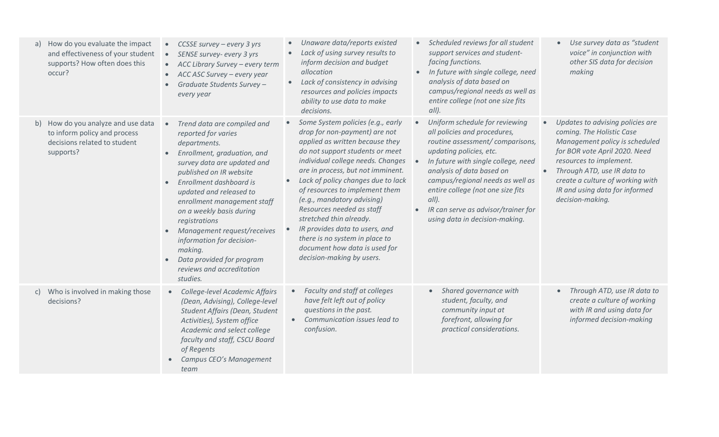| How do you evaluate the impact<br>a)<br>and effectiveness of your student<br>supports? How often does this<br>occur? | CCSSE survey - every 3 yrs<br>$\bullet$<br>SENSE survey- every 3 yrs<br>$\bullet$<br>• ACC Library Survey - every term<br>ACC ASC Survey – every year<br>$\bullet$<br>Graduate Students Survey -<br>every year                                                                                                                                                                                                                                                                    | Unaware data/reports existed<br>Lack of using survey results to<br>$\bullet$<br>inform decision and budget<br>allocation<br>Lack of consistency in advising<br>$\bullet$<br>resources and policies impacts<br>ability to use data to make<br>decisions.                                                                                                                                                                                                                                                                                                   | Scheduled reviews for all student<br>$\bullet$<br>support services and student-<br>facing functions.<br>In future with single college, need<br>analysis of data based on<br>campus/regional needs as well as<br>entire college (not one size fits<br>$all$ ).                                                                                                               | Use survey data as "student<br>voice" in conjunction with<br>other SIS data for decision<br>making                                                                                                                                                                                                             |
|----------------------------------------------------------------------------------------------------------------------|-----------------------------------------------------------------------------------------------------------------------------------------------------------------------------------------------------------------------------------------------------------------------------------------------------------------------------------------------------------------------------------------------------------------------------------------------------------------------------------|-----------------------------------------------------------------------------------------------------------------------------------------------------------------------------------------------------------------------------------------------------------------------------------------------------------------------------------------------------------------------------------------------------------------------------------------------------------------------------------------------------------------------------------------------------------|-----------------------------------------------------------------------------------------------------------------------------------------------------------------------------------------------------------------------------------------------------------------------------------------------------------------------------------------------------------------------------|----------------------------------------------------------------------------------------------------------------------------------------------------------------------------------------------------------------------------------------------------------------------------------------------------------------|
| How do you analyze and use data<br>b)<br>to inform policy and process<br>decisions related to student<br>supports?   | Trend data are compiled and<br>$\bullet$<br>reported for varies<br>departments.<br>Enrollment, graduation, and<br>$\bullet$<br>survey data are updated and<br>published on IR website<br>Enrollment dashboard is<br>$\bullet$<br>updated and released to<br>enrollment management staff<br>on a weekly basis during<br>registrations<br>Management request/receives<br>information for decision-<br>making.<br>Data provided for program<br>reviews and accreditation<br>studies. | Some System policies (e.g., early<br>$\bullet$<br>drop for non-payment) are not<br>applied as written because they<br>do not support students or meet<br>individual college needs. Changes<br>are in process, but not imminent.<br>Lack of policy changes due to lack<br>$\bullet$<br>of resources to implement them<br>(e.g., mandatory advising)<br>Resources needed as staff<br>stretched thin already.<br>IR provides data to users, and<br>$\bullet$<br>there is no system in place to<br>document how data is used for<br>decision-making by users. | Uniform schedule for reviewing<br>all policies and procedures,<br>routine assessment/comparisons,<br>updating policies, etc.<br>In future with single college, need<br>analysis of data based on<br>campus/regional needs as well as<br>entire college (not one size fits<br>$all$ ).<br>IR can serve as advisor/trainer for<br>$\bullet$<br>using data in decision-making. | Updates to advising policies are<br>$\bullet$<br>coming. The Holistic Case<br>Management policy is scheduled<br>for BOR vote April 2020. Need<br>resources to implement.<br>Through ATD, use IR data to<br>$\bullet$<br>create a culture of working with<br>IR and using data for informed<br>decision-making. |
| Who is involved in making those<br>C)<br>decisions?                                                                  | College-level Academic Affairs<br>$\bullet$<br>(Dean, Advising), College-level<br>Student Affairs (Dean, Student<br>Activities), System office<br>Academic and select college<br>faculty and staff, CSCU Board<br>of Regents<br>Campus CEO's Management<br>team                                                                                                                                                                                                                   | Faculty and staff at colleges<br>have felt left out of policy<br>questions in the past.<br>Communication issues lead to<br>confusion.                                                                                                                                                                                                                                                                                                                                                                                                                     | Shared governance with<br>student, faculty, and<br>community input at<br>forefront, allowing for<br>practical considerations.                                                                                                                                                                                                                                               | Through ATD, use IR data to<br>$\bullet$<br>create a culture of working<br>with IR and using data for<br>informed decision-making                                                                                                                                                                              |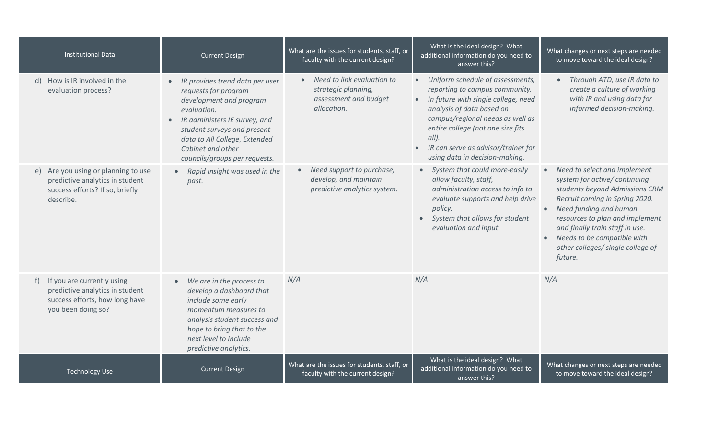| <b>Institutional Data</b>                                                                                              | <b>Current Design</b>                                                                                                                                                                                                                                                              | What are the issues for students, staff, or<br>faculty with the current design?                 | What is the ideal design? What<br>additional information do you need to<br>answer this?                                                                                                                                                                                                                  | What changes or next steps are needed<br>to move toward the ideal design?                                                                                                                                                                                                                                                    |
|------------------------------------------------------------------------------------------------------------------------|------------------------------------------------------------------------------------------------------------------------------------------------------------------------------------------------------------------------------------------------------------------------------------|-------------------------------------------------------------------------------------------------|----------------------------------------------------------------------------------------------------------------------------------------------------------------------------------------------------------------------------------------------------------------------------------------------------------|------------------------------------------------------------------------------------------------------------------------------------------------------------------------------------------------------------------------------------------------------------------------------------------------------------------------------|
| d) How is IR involved in the<br>evaluation process?                                                                    | IR provides trend data per user<br>$\bullet$<br>requests for program<br>development and program<br>evaluation.<br>IR administers IE survey, and<br>$\bullet$<br>student surveys and present<br>data to All College, Extended<br>Cabinet and other<br>councils/groups per requests. | Need to link evaluation to<br>strategic planning,<br>assessment and budget<br>allocation.       | • Uniform schedule of assessments,<br>reporting to campus community.<br>• In future with single college, need<br>analysis of data based on<br>campus/regional needs as well as<br>entire college (not one size fits<br>$all$ ).<br>IR can serve as advisor/trainer for<br>using data in decision-making. | Through ATD, use IR data to<br>create a culture of working<br>with IR and using data for<br>informed decision-making.                                                                                                                                                                                                        |
| e) Are you using or planning to use<br>predictive analytics in student<br>success efforts? If so, briefly<br>describe. | Rapid Insight was used in the<br>$\bullet$<br>past.                                                                                                                                                                                                                                | Need support to purchase,<br>$\bullet$<br>develop, and maintain<br>predictive analytics system. | System that could more-easily<br>$\bullet$<br>allow faculty, staff,<br>administration access to info to<br>evaluate supports and help drive<br>policy.<br>System that allows for student<br>evaluation and input.                                                                                        | Need to select and implement<br>system for active/ continuing<br>students beyond Admissions CRM<br>Recruit coming in Spring 2020.<br>Need funding and human<br>resources to plan and implement<br>and finally train staff in use.<br>Needs to be compatible with<br>$\bullet$<br>other colleges/single college of<br>future. |
| If you are currently using<br>predictive analytics in student<br>success efforts, how long have<br>you been doing so?  | We are in the process to<br>develop a dashboard that<br>include some early<br>momentum measures to<br>analysis student success and<br>hope to bring that to the<br>next level to include<br>predictive analytics.                                                                  | N/A                                                                                             | N/A                                                                                                                                                                                                                                                                                                      | N/A                                                                                                                                                                                                                                                                                                                          |
| <b>Technology Use</b>                                                                                                  | <b>Current Design</b>                                                                                                                                                                                                                                                              | What are the issues for students, staff, or<br>faculty with the current design?                 | What is the ideal design? What<br>additional information do you need to<br>answer this?                                                                                                                                                                                                                  | What changes or next steps are needed<br>to move toward the ideal design?                                                                                                                                                                                                                                                    |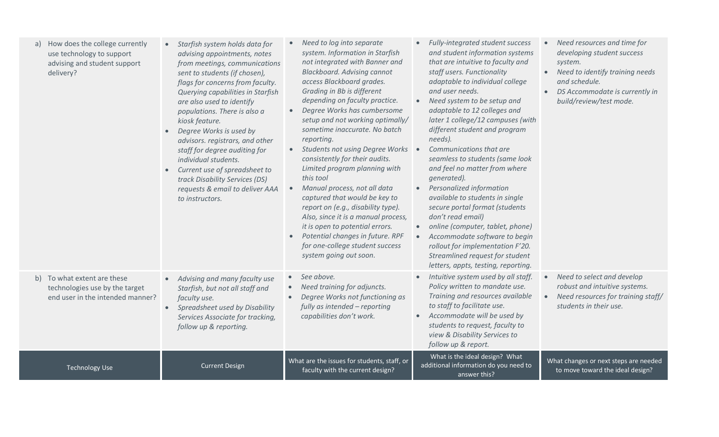| How does the college currently<br>use technology to support<br>advising and student support<br>delivery? | Starfish system holds data for<br>$\bullet$<br>advising appointments, notes<br>from meetings, communications<br>sent to students (if chosen),<br>flags for concerns from faculty.<br>Querying capabilities in Starfish<br>are also used to identify<br>populations. There is also a<br>kiosk feature.<br>Degree Works is used by<br>$\bullet$<br>advisors. registrars, and other<br>staff for degree auditing for<br>individual students.<br>Current use of spreadsheet to<br>$\bullet$<br>track Disability Services (DS)<br>requests & email to deliver AAA<br>to instructors. | Need to log into separate<br>system. Information in Starfish<br>not integrated with Banner and<br><b>Blackboard. Advising cannot</b><br>access Blackboard grades.<br>Grading in Bb is different<br>depending on faculty practice.<br>Degree Works has cumbersome<br>$\bullet$<br>setup and not working optimally/<br>sometime inaccurate. No batch<br>reporting.<br>Students not using Degree Works .<br>consistently for their audits.<br>Limited program planning with<br>this tool<br>Manual process, not all data<br>captured that would be key to<br>report on (e.g., disability type).<br>Also, since it is a manual process,<br>it is open to potential errors.<br>Potential changes in future. RPF<br>for one-college student success<br>system going out soon. | Fully-integrated student success<br>and student information systems<br>that are intuitive to faculty and<br>staff users. Functionality<br>adaptable to individual college<br>and user needs.<br>Need system to be setup and<br>adaptable to 12 colleges and<br>later 1 college/12 campuses (with<br>different student and program<br>needs).<br>Communications that are<br>seamless to students (same look<br>and feel no matter from where<br>generated).<br>Personalized information<br>available to students in single<br>secure portal format (students<br>don't read email)<br>online (computer, tablet, phone)<br>Accommodate software to begin<br>rollout for implementation F'20.<br>Streamlined request for student<br>letters, appts, testing, reporting. | Need resources and time for<br>developing student success<br>system.<br>Need to identify training needs<br>$\bullet$<br>and schedule.<br>DS Accommodate is currently in<br>$\bullet$<br>build/review/test mode. |
|----------------------------------------------------------------------------------------------------------|---------------------------------------------------------------------------------------------------------------------------------------------------------------------------------------------------------------------------------------------------------------------------------------------------------------------------------------------------------------------------------------------------------------------------------------------------------------------------------------------------------------------------------------------------------------------------------|-------------------------------------------------------------------------------------------------------------------------------------------------------------------------------------------------------------------------------------------------------------------------------------------------------------------------------------------------------------------------------------------------------------------------------------------------------------------------------------------------------------------------------------------------------------------------------------------------------------------------------------------------------------------------------------------------------------------------------------------------------------------------|---------------------------------------------------------------------------------------------------------------------------------------------------------------------------------------------------------------------------------------------------------------------------------------------------------------------------------------------------------------------------------------------------------------------------------------------------------------------------------------------------------------------------------------------------------------------------------------------------------------------------------------------------------------------------------------------------------------------------------------------------------------------|-----------------------------------------------------------------------------------------------------------------------------------------------------------------------------------------------------------------|
| b) To what extent are these<br>technologies use by the target<br>end user in the intended manner?        | Advising and many faculty use<br>$\bullet$<br>Starfish, but not all staff and<br>faculty use.<br>Spreadsheet used by Disability<br>$\bullet$<br>Services Associate for tracking,<br>follow up & reporting.                                                                                                                                                                                                                                                                                                                                                                      | See above.<br>Need training for adjuncts.<br>Degree Works not functioning as<br>fully as intended - reporting<br>capabilities don't work.                                                                                                                                                                                                                                                                                                                                                                                                                                                                                                                                                                                                                               | Intuitive system used by all staff.<br>Policy written to mandate use.<br>Training and resources available<br>to staff to facilitate use.<br>Accommodate will be used by<br>students to request, faculty to<br>view & Disability Services to<br>follow up & report.                                                                                                                                                                                                                                                                                                                                                                                                                                                                                                  | Need to select and develop<br>$\bullet$<br>robust and intuitive systems.<br>Need resources for training staff/<br>$\bullet$<br>students in their use.                                                           |
| <b>Technology Use</b>                                                                                    | <b>Current Design</b>                                                                                                                                                                                                                                                                                                                                                                                                                                                                                                                                                           | What are the issues for students, staff, or<br>faculty with the current design?                                                                                                                                                                                                                                                                                                                                                                                                                                                                                                                                                                                                                                                                                         | What is the ideal design? What<br>additional information do you need to<br>answer this?                                                                                                                                                                                                                                                                                                                                                                                                                                                                                                                                                                                                                                                                             | What changes or next steps are needed<br>to move toward the ideal design?                                                                                                                                       |